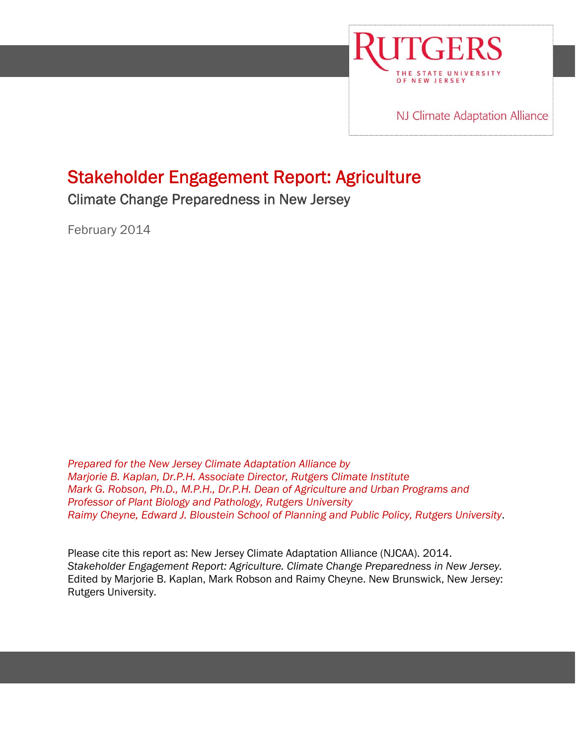

NJ Climate Adaptation Alliance

# Stakeholder Engagement Report: Agriculture

Climate Change Preparedness in New Jersey

י

February 2014

*Prepared for the New Jersey Climate Adaptation Alliance by Marjorie B. Kaplan, Dr.P.H. Associate Director, Rutgers Climate Institute Mark G. Robson, Ph.D., M.P.H., Dr.P.H. Dean of Agriculture and Urban Programs and Professor of Plant Biology and Pathology, Rutgers University Raimy Cheyne, Edward J. Bloustein School of Planning and Public Policy, Rutgers University*.

Please cite this report as: New Jersey Climate Adaptation Alliance (NJCAA). 2014. *Stakeholder Engagement Report: Agriculture. Climate Change Preparedness in New Jersey.* Edited by Marjorie B. Kaplan, Mark Robson and Raimy Cheyne. New Brunswick, New Jersey: Rutgers University.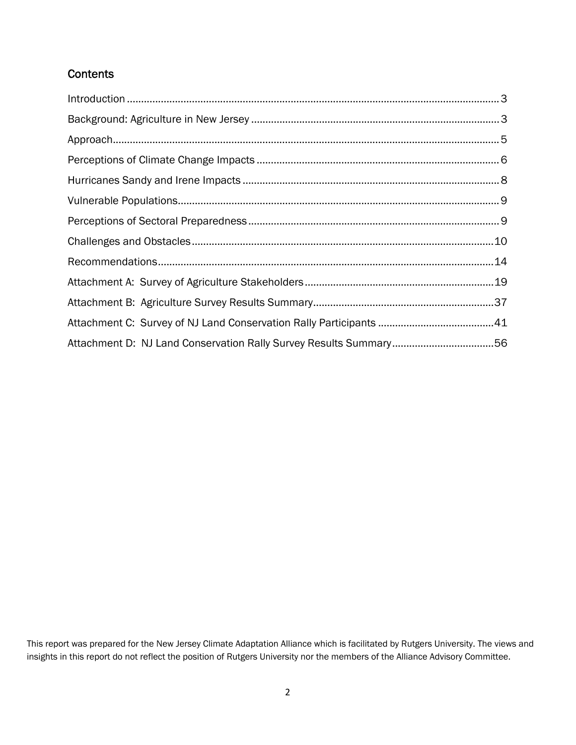# **Contents**

This report was prepared for the New Jersey Climate Adaptation Alliance which is facilitated by Rutgers University. The views and insights in this report do not reflect the position of Rutgers University nor the members of the Alliance Advisory Committee.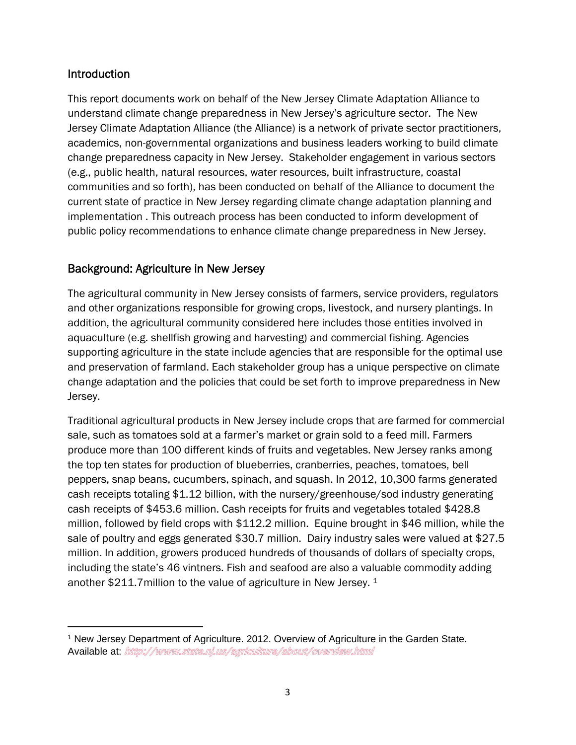# Introduction

This report documents work on behalf of the New Jersey Climate Adaptation Alliance to understand climate change preparedness in New Jersey's agriculture sector. The New Jersey Climate Adaptation Alliance (the Alliance) is a network of private sector practitioners, academics, non-governmental organizations and business leaders working to build climate change preparedness capacity in New Jersey. Stakeholder engagement in various sectors (e.g., public health, natural resources, water resources, built infrastructure, coastal communities and so forth), has been conducted on behalf of the Alliance to document the current state of practice in New Jersey regarding climate change adaptation planning and implementation . This outreach process has been conducted to inform development of public policy recommendations to enhance climate change preparedness in New Jersey.

# Background: Agriculture in New Jersey

The agricultural community in New Jersey consists of farmers, service providers, regulators and other organizations responsible for growing crops, livestock, and nursery plantings. In addition, the agricultural community considered here includes those entities involved in aquaculture (e.g. shellfish growing and harvesting) and commercial fishing. Agencies supporting agriculture in the state include agencies that are responsible for the optimal use and preservation of farmland. Each stakeholder group has a unique perspective on climate change adaptation and the policies that could be set forth to improve preparedness in New Jersey.

Traditional agricultural products in New Jersey include crops that are farmed for commercial sale, such as tomatoes sold at a farmer's market or grain sold to a feed mill. Farmers produce more than 100 different kinds of fruits and vegetables. New Jersey ranks among the top ten states for production of blueberries, cranberries, peaches, tomatoes, bell peppers, snap beans, cucumbers, spinach, and squash. In 2012, 10,300 farms generated cash receipts totaling \$1.12 billion, with the nursery/greenhouse/sod industry generating cash receipts of \$453.6 million. Cash receipts for fruits and vegetables totaled \$428.8 million, followed by field crops with \$112.2 million. Equine brought in \$46 million, while the sale of poultry and eggs generated \$30.7 million. Dairy industry sales were valued at \$27.5 million. In addition, growers produced hundreds of thousands of dollars of specialty crops, including the state's 46 vintners. Fish and seafood are also a valuable commodity adding another \$211.7million to the value of agriculture in New Jersey. 1

<sup>1</sup> New Jersey Department of Agriculture. 2012. Overview of Agriculture in the Garden State. Available at: http://www.state.nj.us/agriculture/about/overview.html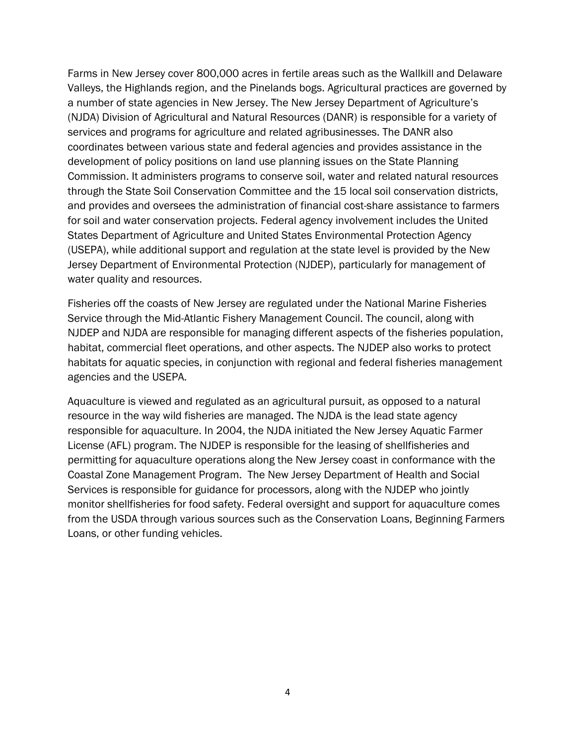Farms in New Jersey cover 800,000 acres in fertile areas such as the Wallkill and Delaware Valleys, the Highlands region, and the Pinelands bogs. Agricultural practices are governed by a number of state agencies in New Jersey. The New Jersey Department of Agriculture's (NJDA) Division of Agricultural and Natural Resources (DANR) is responsible for a variety of services and programs for agriculture and related agribusinesses. The DANR also coordinates between various state and federal agencies and provides assistance in the development of policy positions on land use planning issues on the State Planning Commission. It administers programs to conserve soil, water and related natural resources through the State Soil Conservation Committee and the 15 local soil conservation districts, and provides and oversees the administration of financial cost-share assistance to farmers for soil and water conservation projects. Federal agency involvement includes the United States Department of Agriculture and United States Environmental Protection Agency (USEPA), while additional support and regulation at the state level is provided by the New Jersey Department of Environmental Protection (NJDEP), particularly for management of water quality and resources.

Fisheries off the coasts of New Jersey are regulated under the National Marine Fisheries Service through the Mid-Atlantic Fishery Management Council. The council, along with NJDEP and NJDA are responsible for managing different aspects of the fisheries population, habitat, commercial fleet operations, and other aspects. The NJDEP also works to protect habitats for aquatic species, in conjunction with regional and federal fisheries management agencies and the USEPA.

Aquaculture is viewed and regulated as an agricultural pursuit, as opposed to a natural resource in the way wild fisheries are managed. The NJDA is the lead state agency responsible for aquaculture. In 2004, the NJDA initiated the New Jersey Aquatic Farmer License (AFL) program. The NJDEP is responsible for the leasing of shellfisheries and permitting for aquaculture operations along the New Jersey coast in conformance with the Coastal Zone Management Program. The New Jersey Department of Health and Social Services is responsible for guidance for processors, along with the NJDEP who jointly monitor shellfisheries for food safety. Federal oversight and support for aquaculture comes from the USDA through various sources such as the Conservation Loans, Beginning Farmers Loans, or other funding vehicles.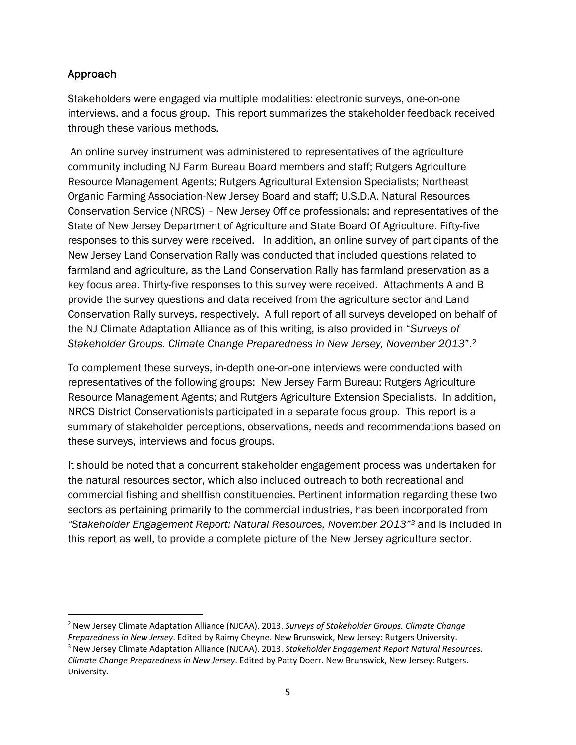# Approach

Stakeholders were engaged via multiple modalities: electronic surveys, one-on-one interviews, and a focus group. This report summarizes the stakeholder feedback received through these various methods.

 An online survey instrument was administered to representatives of the agriculture community including NJ Farm Bureau Board members and staff; Rutgers Agriculture Resource Management Agents; Rutgers Agricultural Extension Specialists; Northeast Organic Farming Association-New Jersey Board and staff; U.S.D.A. Natural Resources Conservation Service (NRCS) – New Jersey Office professionals; and representatives of the State of New Jersey Department of Agriculture and State Board Of Agriculture. Fifty-five responses to this survey were received. In addition, an online survey of participants of the New Jersey Land Conservation Rally was conducted that included questions related to farmland and agriculture, as the Land Conservation Rally has farmland preservation as a key focus area. Thirty-five responses to this survey were received. Attachments A and B provide the survey questions and data received from the agriculture sector and Land Conservation Rally surveys, respectively. A full report of all surveys developed on behalf of the NJ Climate Adaptation Alliance as of this writing, is also provided in "*Surveys of Stakeholder Groups. Climate Change Preparedness in New Jersey, November 2013*".2

To complement these surveys, in-depth one-on-one interviews were conducted with representatives of the following groups: New Jersey Farm Bureau; Rutgers Agriculture Resource Management Agents; and Rutgers Agriculture Extension Specialists. In addition, NRCS District Conservationists participated in a separate focus group. This report is a summary of stakeholder perceptions, observations, needs and recommendations based on these surveys, interviews and focus groups.

It should be noted that a concurrent stakeholder engagement process was undertaken for the natural resources sector, which also included outreach to both recreational and commercial fishing and shellfish constituencies. Pertinent information regarding these two sectors as pertaining primarily to the commercial industries, has been incorporated from *"Stakeholder Engagement Report: Natural Resources, November 2013"3* and is included in this report as well, to provide a complete picture of the New Jersey agriculture sector.

<sup>2</sup> New Jersey Climate Adaptation Alliance (NJCAA). 2013. *Surveys of Stakeholder Groups. Climate Change Preparedness in New Jersey*. Edited by Raimy Cheyne. New Brunswick, New Jersey: Rutgers University. <sup>3</sup> New Jersey Climate Adaptation Alliance (NJCAA). 2013. *Stakeholder Engagement Report Natural Resources. Climate Change Preparedness in New Jersey*. Edited by Patty Doerr. New Brunswick, New Jersey: Rutgers. University.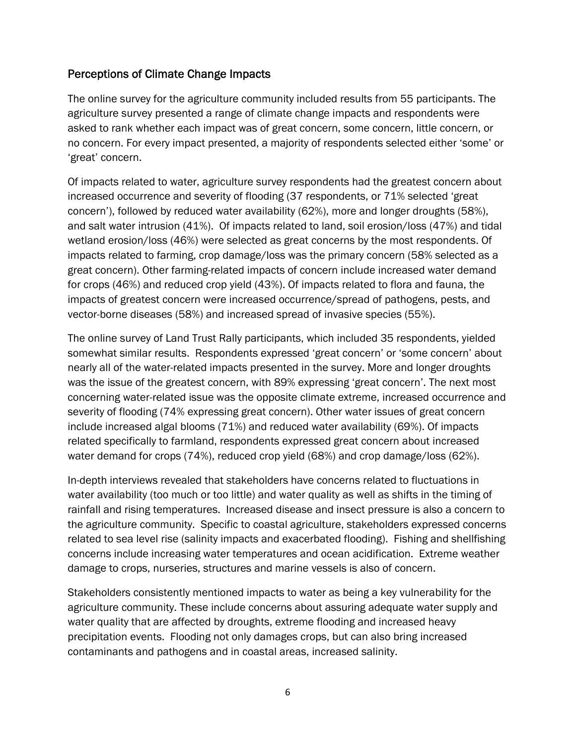# Perceptions of Climate Change Impacts

The online survey for the agriculture community included results from 55 participants. The agriculture survey presented a range of climate change impacts and respondents were asked to rank whether each impact was of great concern, some concern, little concern, or no concern. For every impact presented, a majority of respondents selected either 'some' or 'great' concern.

Of impacts related to water, agriculture survey respondents had the greatest concern about increased occurrence and severity of flooding (37 respondents, or 71% selected 'great concern'), followed by reduced water availability (62%), more and longer droughts (58%), and salt water intrusion (41%). Of impacts related to land, soil erosion/loss (47%) and tidal wetland erosion/loss (46%) were selected as great concerns by the most respondents. Of impacts related to farming, crop damage/loss was the primary concern (58% selected as a great concern). Other farming-related impacts of concern include increased water demand for crops (46%) and reduced crop yield (43%). Of impacts related to flora and fauna, the impacts of greatest concern were increased occurrence/spread of pathogens, pests, and vector-borne diseases (58%) and increased spread of invasive species (55%).

The online survey of Land Trust Rally participants, which included 35 respondents, yielded somewhat similar results. Respondents expressed 'great concern' or 'some concern' about nearly all of the water-related impacts presented in the survey. More and longer droughts was the issue of the greatest concern, with 89% expressing 'great concern'. The next most concerning water-related issue was the opposite climate extreme, increased occurrence and severity of flooding (74% expressing great concern). Other water issues of great concern include increased algal blooms (71%) and reduced water availability (69%). Of impacts related specifically to farmland, respondents expressed great concern about increased water demand for crops (74%), reduced crop yield (68%) and crop damage/loss (62%).

In-depth interviews revealed that stakeholders have concerns related to fluctuations in water availability (too much or too little) and water quality as well as shifts in the timing of rainfall and rising temperatures. Increased disease and insect pressure is also a concern to the agriculture community. Specific to coastal agriculture, stakeholders expressed concerns related to sea level rise (salinity impacts and exacerbated flooding). Fishing and shellfishing concerns include increasing water temperatures and ocean acidification. Extreme weather damage to crops, nurseries, structures and marine vessels is also of concern.

Stakeholders consistently mentioned impacts to water as being a key vulnerability for the agriculture community. These include concerns about assuring adequate water supply and water quality that are affected by droughts, extreme flooding and increased heavy precipitation events. Flooding not only damages crops, but can also bring increased contaminants and pathogens and in coastal areas, increased salinity.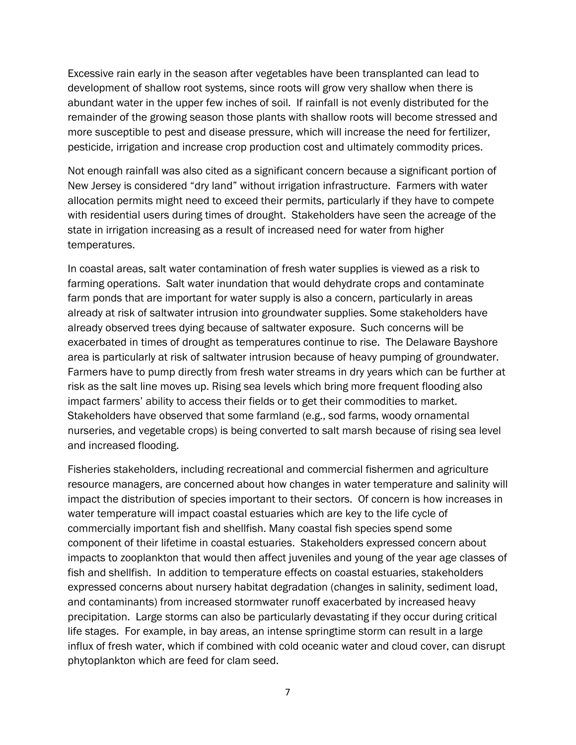Excessive rain early in the season after vegetables have been transplanted can lead to development of shallow root systems, since roots will grow very shallow when there is abundant water in the upper few inches of soil. If rainfall is not evenly distributed for the remainder of the growing season those plants with shallow roots will become stressed and more susceptible to pest and disease pressure, which will increase the need for fertilizer, pesticide, irrigation and increase crop production cost and ultimately commodity prices.

Not enough rainfall was also cited as a significant concern because a significant portion of New Jersey is considered "dry land" without irrigation infrastructure. Farmers with water allocation permits might need to exceed their permits, particularly if they have to compete with residential users during times of drought. Stakeholders have seen the acreage of the state in irrigation increasing as a result of increased need for water from higher temperatures.

In coastal areas, salt water contamination of fresh water supplies is viewed as a risk to farming operations. Salt water inundation that would dehydrate crops and contaminate farm ponds that are important for water supply is also a concern, particularly in areas already at risk of saltwater intrusion into groundwater supplies. Some stakeholders have already observed trees dying because of saltwater exposure. Such concerns will be exacerbated in times of drought as temperatures continue to rise. The Delaware Bayshore area is particularly at risk of saltwater intrusion because of heavy pumping of groundwater. Farmers have to pump directly from fresh water streams in dry years which can be further at risk as the salt line moves up. Rising sea levels which bring more frequent flooding also impact farmers' ability to access their fields or to get their commodities to market. Stakeholders have observed that some farmland (e.g., sod farms, woody ornamental nurseries, and vegetable crops) is being converted to salt marsh because of rising sea level and increased flooding.

Fisheries stakeholders, including recreational and commercial fishermen and agriculture resource managers, are concerned about how changes in water temperature and salinity will impact the distribution of species important to their sectors. Of concern is how increases in water temperature will impact coastal estuaries which are key to the life cycle of commercially important fish and shellfish. Many coastal fish species spend some component of their lifetime in coastal estuaries. Stakeholders expressed concern about impacts to zooplankton that would then affect juveniles and young of the year age classes of fish and shellfish. In addition to temperature effects on coastal estuaries, stakeholders expressed concerns about nursery habitat degradation (changes in salinity, sediment load, and contaminants) from increased stormwater runoff exacerbated by increased heavy precipitation. Large storms can also be particularly devastating if they occur during critical life stages. For example, in bay areas, an intense springtime storm can result in a large influx of fresh water, which if combined with cold oceanic water and cloud cover, can disrupt phytoplankton which are feed for clam seed.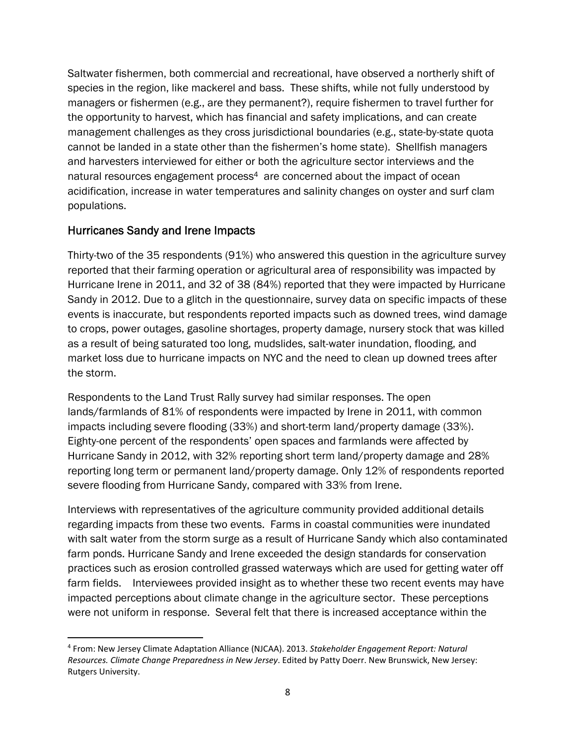Saltwater fishermen, both commercial and recreational, have observed a northerly shift of species in the region, like mackerel and bass. These shifts, while not fully understood by managers or fishermen (e.g., are they permanent?), require fishermen to travel further for the opportunity to harvest, which has financial and safety implications, and can create management challenges as they cross jurisdictional boundaries (e.g., state-by-state quota cannot be landed in a state other than the fishermen's home state). Shellfish managers and harvesters interviewed for either or both the agriculture sector interviews and the natural resources engagement process<sup>4</sup> are concerned about the impact of ocean acidification, increase in water temperatures and salinity changes on oyster and surf clam populations.

# Hurricanes Sandy and Irene Impacts

Thirty-two of the 35 respondents (91%) who answered this question in the agriculture survey reported that their farming operation or agricultural area of responsibility was impacted by Hurricane Irene in 2011, and 32 of 38 (84%) reported that they were impacted by Hurricane Sandy in 2012. Due to a glitch in the questionnaire, survey data on specific impacts of these events is inaccurate, but respondents reported impacts such as downed trees, wind damage to crops, power outages, gasoline shortages, property damage, nursery stock that was killed as a result of being saturated too long, mudslides, salt-water inundation, flooding, and market loss due to hurricane impacts on NYC and the need to clean up downed trees after the storm.

Respondents to the Land Trust Rally survey had similar responses. The open lands/farmlands of 81% of respondents were impacted by Irene in 2011, with common impacts including severe flooding (33%) and short-term land/property damage (33%). Eighty-one percent of the respondents' open spaces and farmlands were affected by Hurricane Sandy in 2012, with 32% reporting short term land/property damage and 28% reporting long term or permanent land/property damage. Only 12% of respondents reported severe flooding from Hurricane Sandy, compared with 33% from Irene.

Interviews with representatives of the agriculture community provided additional details regarding impacts from these two events. Farms in coastal communities were inundated with salt water from the storm surge as a result of Hurricane Sandy which also contaminated farm ponds. Hurricane Sandy and Irene exceeded the design standards for conservation practices such as erosion controlled grassed waterways which are used for getting water off farm fields. Interviewees provided insight as to whether these two recent events may have impacted perceptions about climate change in the agriculture sector. These perceptions were not uniform in response. Several felt that there is increased acceptance within the

<sup>4</sup> From: New Jersey Climate Adaptation Alliance (NJCAA). 2013. *Stakeholder Engagement Report: Natural Resources. Climate Change Preparedness in New Jersey*. Edited by Patty Doerr. New Brunswick, New Jersey: Rutgers University.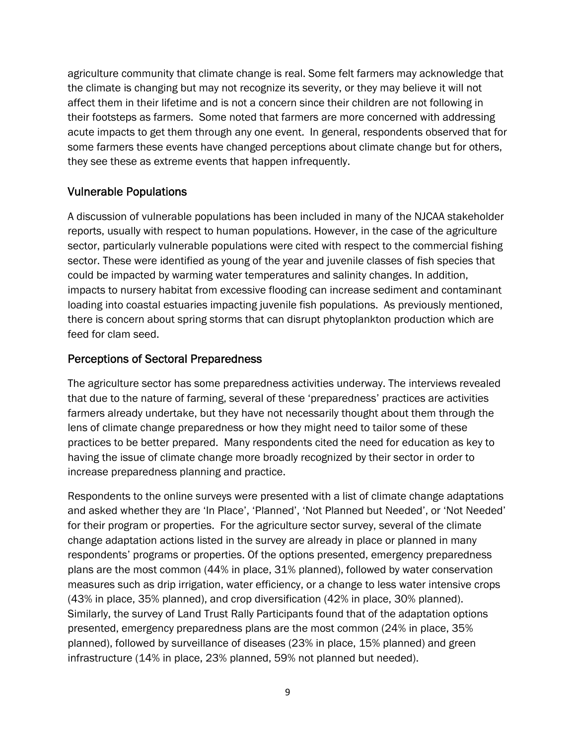agriculture community that climate change is real. Some felt farmers may acknowledge that the climate is changing but may not recognize its severity, or they may believe it will not affect them in their lifetime and is not a concern since their children are not following in their footsteps as farmers. Some noted that farmers are more concerned with addressing acute impacts to get them through any one event. In general, respondents observed that for some farmers these events have changed perceptions about climate change but for others, they see these as extreme events that happen infrequently.

# Vulnerable Populations

A discussion of vulnerable populations has been included in many of the NJCAA stakeholder reports, usually with respect to human populations. However, in the case of the agriculture sector, particularly vulnerable populations were cited with respect to the commercial fishing sector. These were identified as young of the year and juvenile classes of fish species that could be impacted by warming water temperatures and salinity changes. In addition, impacts to nursery habitat from excessive flooding can increase sediment and contaminant loading into coastal estuaries impacting juvenile fish populations. As previously mentioned, there is concern about spring storms that can disrupt phytoplankton production which are feed for clam seed.

# Perceptions of Sectoral Preparedness

The agriculture sector has some preparedness activities underway. The interviews revealed that due to the nature of farming, several of these 'preparedness' practices are activities farmers already undertake, but they have not necessarily thought about them through the lens of climate change preparedness or how they might need to tailor some of these practices to be better prepared. Many respondents cited the need for education as key to having the issue of climate change more broadly recognized by their sector in order to increase preparedness planning and practice.

Respondents to the online surveys were presented with a list of climate change adaptations and asked whether they are 'In Place', 'Planned', 'Not Planned but Needed', or 'Not Needed' for their program or properties. For the agriculture sector survey, several of the climate change adaptation actions listed in the survey are already in place or planned in many respondents' programs or properties. Of the options presented, emergency preparedness plans are the most common (44% in place, 31% planned), followed by water conservation measures such as drip irrigation, water efficiency, or a change to less water intensive crops (43% in place, 35% planned), and crop diversification (42% in place, 30% planned). Similarly, the survey of Land Trust Rally Participants found that of the adaptation options presented, emergency preparedness plans are the most common (24% in place, 35% planned), followed by surveillance of diseases (23% in place, 15% planned) and green infrastructure (14% in place, 23% planned, 59% not planned but needed).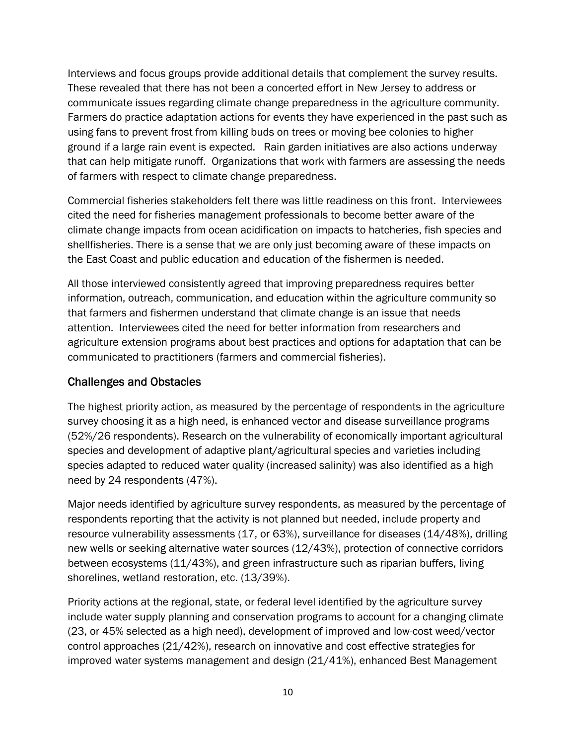Interviews and focus groups provide additional details that complement the survey results. These revealed that there has not been a concerted effort in New Jersey to address or communicate issues regarding climate change preparedness in the agriculture community. Farmers do practice adaptation actions for events they have experienced in the past such as using fans to prevent frost from killing buds on trees or moving bee colonies to higher ground if a large rain event is expected. Rain garden initiatives are also actions underway that can help mitigate runoff. Organizations that work with farmers are assessing the needs of farmers with respect to climate change preparedness.

Commercial fisheries stakeholders felt there was little readiness on this front. Interviewees cited the need for fisheries management professionals to become better aware of the climate change impacts from ocean acidification on impacts to hatcheries, fish species and shellfisheries. There is a sense that we are only just becoming aware of these impacts on the East Coast and public education and education of the fishermen is needed.

All those interviewed consistently agreed that improving preparedness requires better information, outreach, communication, and education within the agriculture community so that farmers and fishermen understand that climate change is an issue that needs attention. Interviewees cited the need for better information from researchers and agriculture extension programs about best practices and options for adaptation that can be communicated to practitioners (farmers and commercial fisheries).

# Challenges and Obstacles

The highest priority action, as measured by the percentage of respondents in the agriculture survey choosing it as a high need, is enhanced vector and disease surveillance programs (52%/26 respondents). Research on the vulnerability of economically important agricultural species and development of adaptive plant/agricultural species and varieties including species adapted to reduced water quality (increased salinity) was also identified as a high need by 24 respondents (47%).

Major needs identified by agriculture survey respondents, as measured by the percentage of respondents reporting that the activity is not planned but needed, include property and resource vulnerability assessments (17, or 63%), surveillance for diseases (14/48%), drilling new wells or seeking alternative water sources (12/43%), protection of connective corridors between ecosystems (11/43%), and green infrastructure such as riparian buffers, living shorelines, wetland restoration, etc. (13/39%).

Priority actions at the regional, state, or federal level identified by the agriculture survey include water supply planning and conservation programs to account for a changing climate (23, or 45% selected as a high need), development of improved and low-cost weed/vector control approaches (21/42%), research on innovative and cost effective strategies for improved water systems management and design (21/41%), enhanced Best Management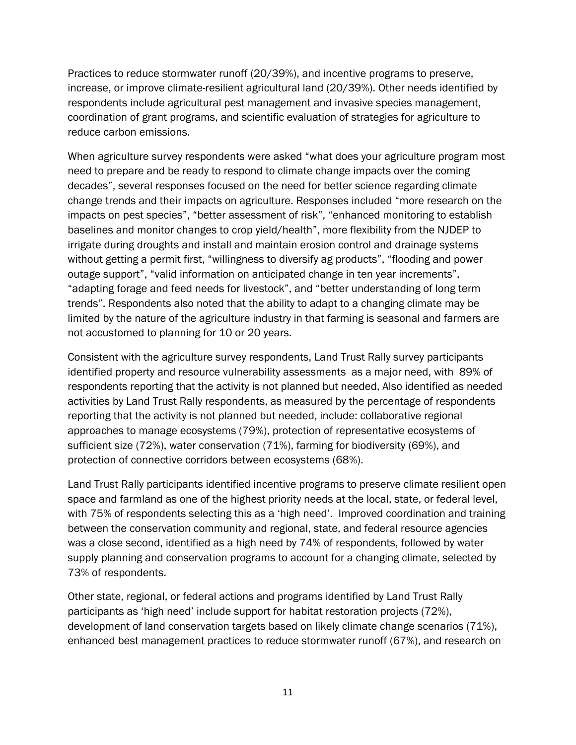Practices to reduce stormwater runoff (20/39%), and incentive programs to preserve, increase, or improve climate-resilient agricultural land (20/39%). Other needs identified by respondents include agricultural pest management and invasive species management, coordination of grant programs, and scientific evaluation of strategies for agriculture to reduce carbon emissions.

When agriculture survey respondents were asked "what does your agriculture program most need to prepare and be ready to respond to climate change impacts over the coming decades", several responses focused on the need for better science regarding climate change trends and their impacts on agriculture. Responses included "more research on the impacts on pest species", "better assessment of risk", "enhanced monitoring to establish baselines and monitor changes to crop yield/health", more flexibility from the NJDEP to irrigate during droughts and install and maintain erosion control and drainage systems without getting a permit first, "willingness to diversify ag products", "flooding and power outage support", "valid information on anticipated change in ten year increments", "adapting forage and feed needs for livestock", and "better understanding of long term trends". Respondents also noted that the ability to adapt to a changing climate may be limited by the nature of the agriculture industry in that farming is seasonal and farmers are not accustomed to planning for 10 or 20 years.

Consistent with the agriculture survey respondents, Land Trust Rally survey participants identified property and resource vulnerability assessments as a major need, with 89% of respondents reporting that the activity is not planned but needed, Also identified as needed activities by Land Trust Rally respondents, as measured by the percentage of respondents reporting that the activity is not planned but needed, include: collaborative regional approaches to manage ecosystems (79%), protection of representative ecosystems of sufficient size (72%), water conservation (71%), farming for biodiversity (69%), and protection of connective corridors between ecosystems (68%).

Land Trust Rally participants identified incentive programs to preserve climate resilient open space and farmland as one of the highest priority needs at the local, state, or federal level, with 75% of respondents selecting this as a 'high need'. Improved coordination and training between the conservation community and regional, state, and federal resource agencies was a close second, identified as a high need by 74% of respondents, followed by water supply planning and conservation programs to account for a changing climate, selected by 73% of respondents.

Other state, regional, or federal actions and programs identified by Land Trust Rally participants as 'high need' include support for habitat restoration projects (72%), development of land conservation targets based on likely climate change scenarios (71%), enhanced best management practices to reduce stormwater runoff (67%), and research on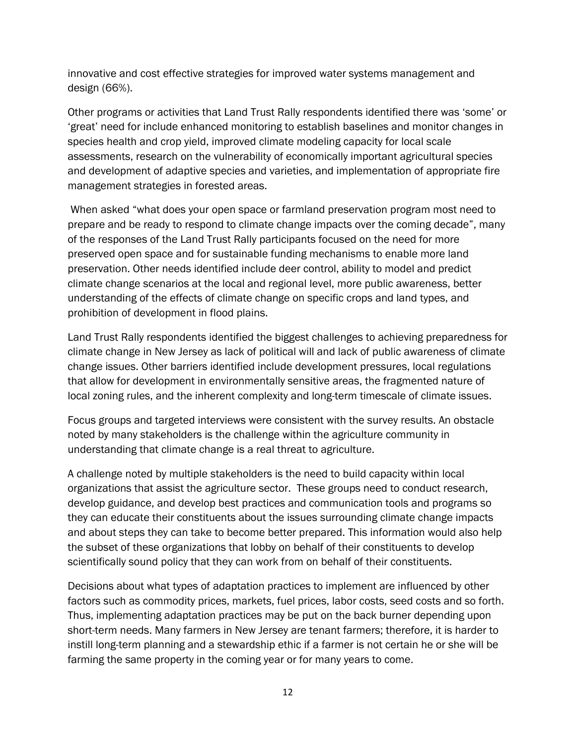innovative and cost effective strategies for improved water systems management and design (66%).

Other programs or activities that Land Trust Rally respondents identified there was 'some' or 'great' need for include enhanced monitoring to establish baselines and monitor changes in species health and crop yield, improved climate modeling capacity for local scale assessments, research on the vulnerability of economically important agricultural species and development of adaptive species and varieties, and implementation of appropriate fire management strategies in forested areas.

 When asked "what does your open space or farmland preservation program most need to prepare and be ready to respond to climate change impacts over the coming decade", many of the responses of the Land Trust Rally participants focused on the need for more preserved open space and for sustainable funding mechanisms to enable more land preservation. Other needs identified include deer control, ability to model and predict climate change scenarios at the local and regional level, more public awareness, better understanding of the effects of climate change on specific crops and land types, and prohibition of development in flood plains.

Land Trust Rally respondents identified the biggest challenges to achieving preparedness for climate change in New Jersey as lack of political will and lack of public awareness of climate change issues. Other barriers identified include development pressures, local regulations that allow for development in environmentally sensitive areas, the fragmented nature of local zoning rules, and the inherent complexity and long-term timescale of climate issues.

Focus groups and targeted interviews were consistent with the survey results. An obstacle noted by many stakeholders is the challenge within the agriculture community in understanding that climate change is a real threat to agriculture.

A challenge noted by multiple stakeholders is the need to build capacity within local organizations that assist the agriculture sector. These groups need to conduct research, develop guidance, and develop best practices and communication tools and programs so they can educate their constituents about the issues surrounding climate change impacts and about steps they can take to become better prepared. This information would also help the subset of these organizations that lobby on behalf of their constituents to develop scientifically sound policy that they can work from on behalf of their constituents.

Decisions about what types of adaptation practices to implement are influenced by other factors such as commodity prices, markets, fuel prices, labor costs, seed costs and so forth. Thus, implementing adaptation practices may be put on the back burner depending upon short-term needs. Many farmers in New Jersey are tenant farmers; therefore, it is harder to instill long-term planning and a stewardship ethic if a farmer is not certain he or she will be farming the same property in the coming year or for many years to come.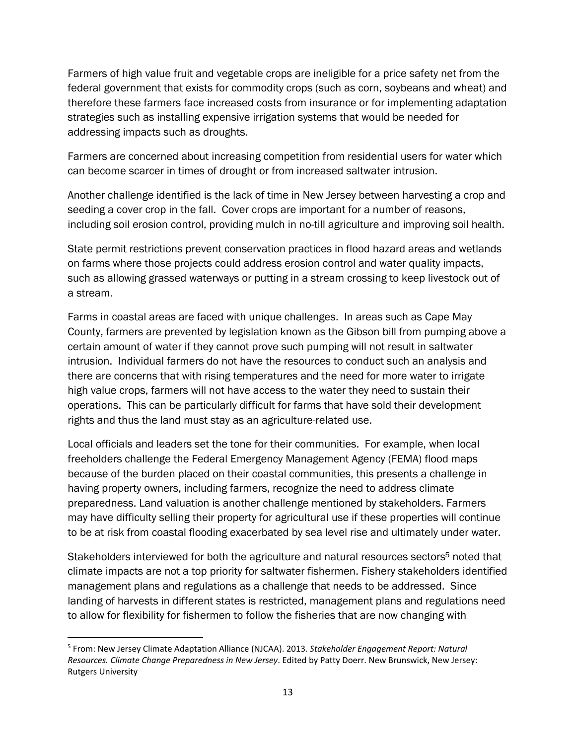Farmers of high value fruit and vegetable crops are ineligible for a price safety net from the federal government that exists for commodity crops (such as corn, soybeans and wheat) and therefore these farmers face increased costs from insurance or for implementing adaptation strategies such as installing expensive irrigation systems that would be needed for addressing impacts such as droughts.

Farmers are concerned about increasing competition from residential users for water which can become scarcer in times of drought or from increased saltwater intrusion.

Another challenge identified is the lack of time in New Jersey between harvesting a crop and seeding a cover crop in the fall. Cover crops are important for a number of reasons, including soil erosion control, providing mulch in no-till agriculture and improving soil health.

State permit restrictions prevent conservation practices in flood hazard areas and wetlands on farms where those projects could address erosion control and water quality impacts, such as allowing grassed waterways or putting in a stream crossing to keep livestock out of a stream.

Farms in coastal areas are faced with unique challenges. In areas such as Cape May County, farmers are prevented by legislation known as the Gibson bill from pumping above a certain amount of water if they cannot prove such pumping will not result in saltwater intrusion. Individual farmers do not have the resources to conduct such an analysis and there are concerns that with rising temperatures and the need for more water to irrigate high value crops, farmers will not have access to the water they need to sustain their operations. This can be particularly difficult for farms that have sold their development rights and thus the land must stay as an agriculture-related use.

Local officials and leaders set the tone for their communities. For example, when local freeholders challenge the Federal Emergency Management Agency (FEMA) flood maps because of the burden placed on their coastal communities, this presents a challenge in having property owners, including farmers, recognize the need to address climate preparedness. Land valuation is another challenge mentioned by stakeholders. Farmers may have difficulty selling their property for agricultural use if these properties will continue to be at risk from coastal flooding exacerbated by sea level rise and ultimately under water.

Stakeholders interviewed for both the agriculture and natural resources sectors<sup>5</sup> noted that climate impacts are not a top priority for saltwater fishermen. Fishery stakeholders identified management plans and regulations as a challenge that needs to be addressed. Since landing of harvests in different states is restricted, management plans and regulations need to allow for flexibility for fishermen to follow the fisheries that are now changing with

<sup>5</sup> From: New Jersey Climate Adaptation Alliance (NJCAA). 2013. *Stakeholder Engagement Report: Natural Resources. Climate Change Preparedness in New Jersey*. Edited by Patty Doerr. New Brunswick, New Jersey: Rutgers University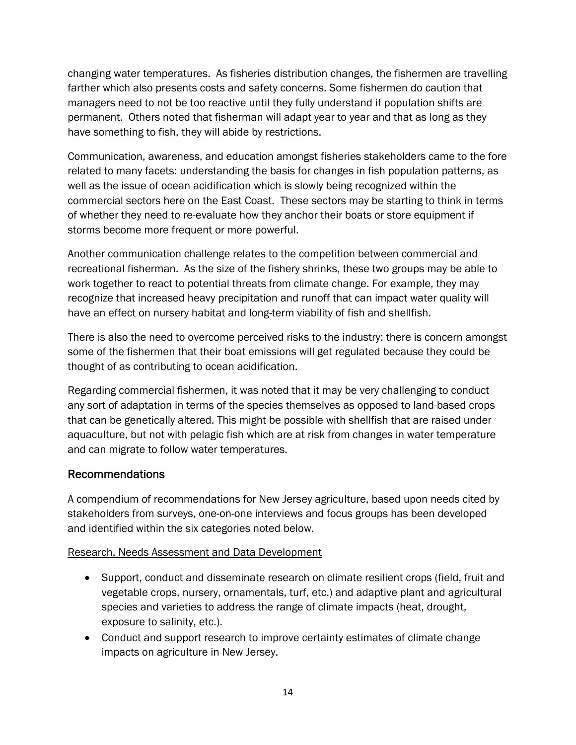changing water temperatures. As fisheries distribution changes, the fishermen are travelling farther which also presents costs and safety concerns. Some fishermen do caution that managers need to not be too reactive until they fully understand if population shifts are permanent. Others noted that fisherman will adapt year to year and that as long as they have something to fish, they will abide by restrictions.

Communication, awareness, and education amongst fisheries stakeholders came to the fore related to many facets: understanding the basis for changes in fish population patterns, as well as the issue of ocean acidification which is slowly being recognized within the commercial sectors here on the East Coast. These sectors may be starting to think in terms of whether they need to re-evaluate how they anchor their boats or store equipment if storms become more frequent or more powerful.

Another communication challenge relates to the competition between commercial and recreational fisherman. As the size of the fishery shrinks, these two groups may be able to work together to react to potential threats from climate change. For example, they may recognize that increased heavy precipitation and runoff that can impact water quality will have an effect on nursery habitat and long-term viability of fish and shellfish.

There is also the need to overcome perceived risks to the industry: there is concern amongst some of the fishermen that their boat emissions will get regulated because they could be thought of as contributing to ocean acidification.

Regarding commercial fishermen, it was noted that it may be very challenging to conduct any sort of adaptation in terms of the species themselves as opposed to land-based crops that can be genetically altered. This might be possible with shellfish that are raised under aquaculture, but not with pelagic fish which are at risk from changes in water temperature and can migrate to follow water temperatures.

# Recommendations

A compendium of recommendations for New Jersey agriculture, based upon needs cited by stakeholders from surveys, one-on-one interviews and focus groups has been developed and identified within the six categories noted below.

### Research, Needs Assessment and Data Development

- Support, conduct and disseminate research on climate resilient crops (field, fruit and vegetable crops, nursery, ornamentals, turf, etc.) and adaptive plant and agricultural species and varieties to address the range of climate impacts (heat, drought, exposure to salinity, etc.).
- Conduct and support research to improve certainty estimates of climate change impacts on agriculture in New Jersey.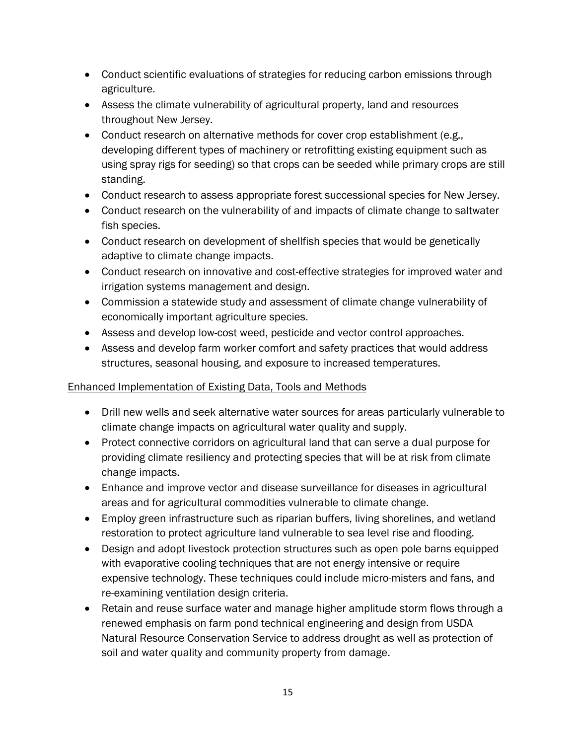- Conduct scientific evaluations of strategies for reducing carbon emissions through agriculture.
- Assess the climate vulnerability of agricultural property, land and resources throughout New Jersey.
- Conduct research on alternative methods for cover crop establishment (e.g., developing different types of machinery or retrofitting existing equipment such as using spray rigs for seeding) so that crops can be seeded while primary crops are still standing.
- Conduct research to assess appropriate forest successional species for New Jersey.
- Conduct research on the vulnerability of and impacts of climate change to saltwater fish species.
- Conduct research on development of shellfish species that would be genetically adaptive to climate change impacts.
- Conduct research on innovative and cost-effective strategies for improved water and irrigation systems management and design.
- Commission a statewide study and assessment of climate change vulnerability of economically important agriculture species.
- Assess and develop low-cost weed, pesticide and vector control approaches.
- Assess and develop farm worker comfort and safety practices that would address structures, seasonal housing, and exposure to increased temperatures.

# Enhanced Implementation of Existing Data, Tools and Methods

- Drill new wells and seek alternative water sources for areas particularly vulnerable to climate change impacts on agricultural water quality and supply.
- Protect connective corridors on agricultural land that can serve a dual purpose for providing climate resiliency and protecting species that will be at risk from climate change impacts.
- Enhance and improve vector and disease surveillance for diseases in agricultural areas and for agricultural commodities vulnerable to climate change.
- Employ green infrastructure such as riparian buffers, living shorelines, and wetland restoration to protect agriculture land vulnerable to sea level rise and flooding.
- Design and adopt livestock protection structures such as open pole barns equipped with evaporative cooling techniques that are not energy intensive or require expensive technology. These techniques could include micro-misters and fans, and re-examining ventilation design criteria.
- Retain and reuse surface water and manage higher amplitude storm flows through a renewed emphasis on farm pond technical engineering and design from USDA Natural Resource Conservation Service to address drought as well as protection of soil and water quality and community property from damage.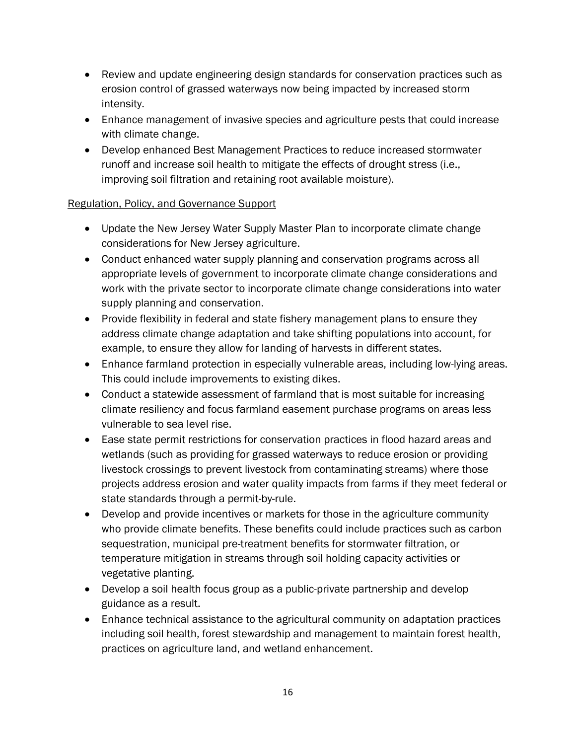- Review and update engineering design standards for conservation practices such as erosion control of grassed waterways now being impacted by increased storm intensity.
- Enhance management of invasive species and agriculture pests that could increase with climate change.
- Develop enhanced Best Management Practices to reduce increased stormwater runoff and increase soil health to mitigate the effects of drought stress (i.e., improving soil filtration and retaining root available moisture).

### Regulation, Policy, and Governance Support

- Update the New Jersey Water Supply Master Plan to incorporate climate change considerations for New Jersey agriculture.
- Conduct enhanced water supply planning and conservation programs across all appropriate levels of government to incorporate climate change considerations and work with the private sector to incorporate climate change considerations into water supply planning and conservation.
- Provide flexibility in federal and state fishery management plans to ensure they address climate change adaptation and take shifting populations into account, for example, to ensure they allow for landing of harvests in different states.
- Enhance farmland protection in especially vulnerable areas, including low-lying areas. This could include improvements to existing dikes.
- Conduct a statewide assessment of farmland that is most suitable for increasing climate resiliency and focus farmland easement purchase programs on areas less vulnerable to sea level rise.
- Ease state permit restrictions for conservation practices in flood hazard areas and wetlands (such as providing for grassed waterways to reduce erosion or providing livestock crossings to prevent livestock from contaminating streams) where those projects address erosion and water quality impacts from farms if they meet federal or state standards through a permit-by-rule.
- Develop and provide incentives or markets for those in the agriculture community who provide climate benefits. These benefits could include practices such as carbon sequestration, municipal pre-treatment benefits for stormwater filtration, or temperature mitigation in streams through soil holding capacity activities or vegetative planting.
- Develop a soil health focus group as a public-private partnership and develop guidance as a result.
- Enhance technical assistance to the agricultural community on adaptation practices including soil health, forest stewardship and management to maintain forest health, practices on agriculture land, and wetland enhancement.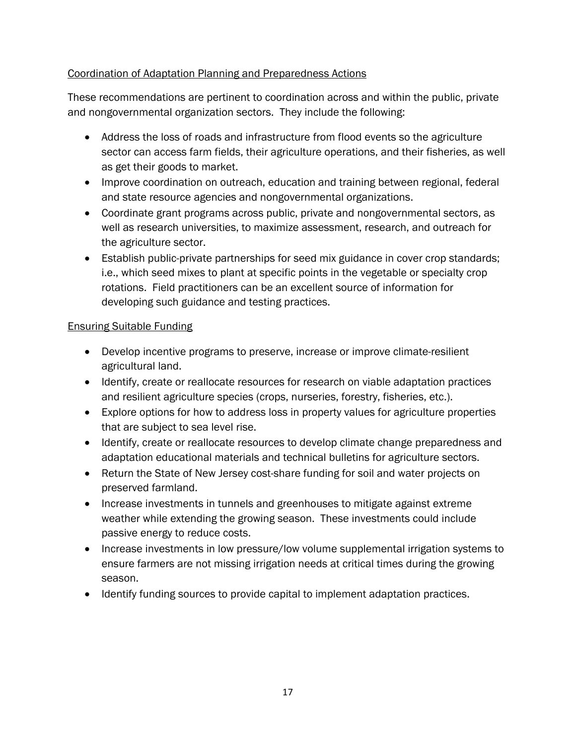# Coordination of Adaptation Planning and Preparedness Actions

These recommendations are pertinent to coordination across and within the public, private and nongovernmental organization sectors. They include the following:

- Address the loss of roads and infrastructure from flood events so the agriculture sector can access farm fields, their agriculture operations, and their fisheries, as well as get their goods to market.
- Improve coordination on outreach, education and training between regional, federal and state resource agencies and nongovernmental organizations.
- Coordinate grant programs across public, private and nongovernmental sectors, as well as research universities, to maximize assessment, research, and outreach for the agriculture sector.
- Establish public-private partnerships for seed mix guidance in cover crop standards; i.e., which seed mixes to plant at specific points in the vegetable or specialty crop rotations. Field practitioners can be an excellent source of information for developing such guidance and testing practices.

#### Ensuring Suitable Funding

- Develop incentive programs to preserve, increase or improve climate-resilient agricultural land.
- Identify, create or reallocate resources for research on viable adaptation practices and resilient agriculture species (crops, nurseries, forestry, fisheries, etc.).
- Explore options for how to address loss in property values for agriculture properties that are subject to sea level rise.
- Identify, create or reallocate resources to develop climate change preparedness and adaptation educational materials and technical bulletins for agriculture sectors.
- Return the State of New Jersey cost-share funding for soil and water projects on preserved farmland.
- Increase investments in tunnels and greenhouses to mitigate against extreme weather while extending the growing season. These investments could include passive energy to reduce costs.
- Increase investments in low pressure/low volume supplemental irrigation systems to ensure farmers are not missing irrigation needs at critical times during the growing season.
- Identify funding sources to provide capital to implement adaptation practices.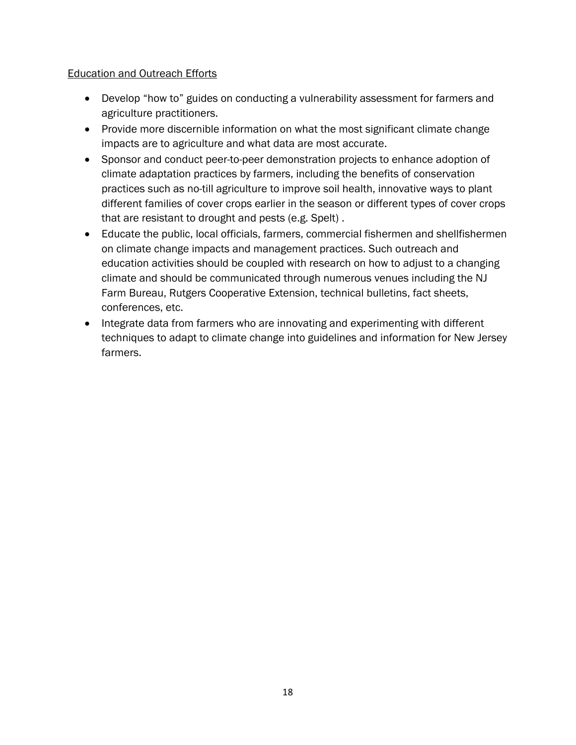# Education and Outreach Efforts

- Develop "how to" guides on conducting a vulnerability assessment for farmers and agriculture practitioners.
- Provide more discernible information on what the most significant climate change impacts are to agriculture and what data are most accurate.
- Sponsor and conduct peer-to-peer demonstration projects to enhance adoption of climate adaptation practices by farmers, including the benefits of conservation practices such as no-till agriculture to improve soil health, innovative ways to plant different families of cover crops earlier in the season or different types of cover crops that are resistant to drought and pests (e.g. Spelt) .
- Educate the public, local officials, farmers, commercial fishermen and shellfishermen on climate change impacts and management practices. Such outreach and education activities should be coupled with research on how to adjust to a changing climate and should be communicated through numerous venues including the NJ Farm Bureau, Rutgers Cooperative Extension, technical bulletins, fact sheets, conferences, etc.
- Integrate data from farmers who are innovating and experimenting with different techniques to adapt to climate change into guidelines and information for New Jersey farmers.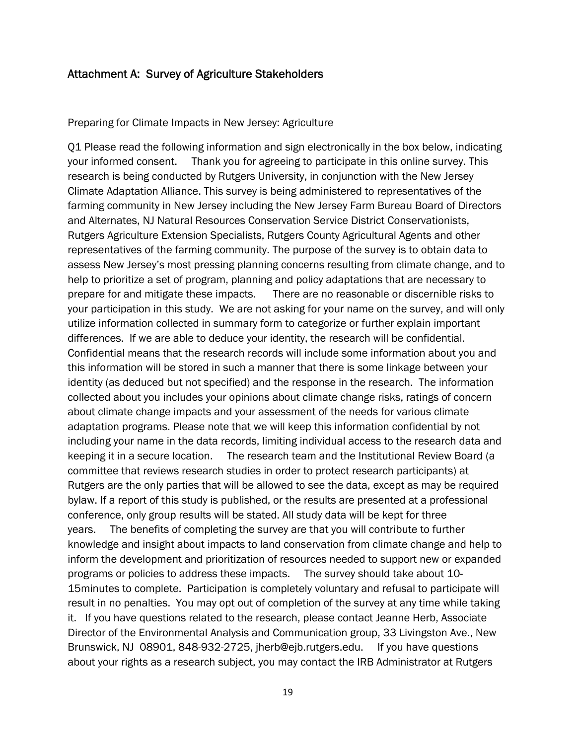# Attachment A: Survey of Agriculture Stakeholders

Preparing for Climate Impacts in New Jersey: Agriculture

Q1 Please read the following information and sign electronically in the box below, indicating your informed consent. Thank you for agreeing to participate in this online survey. This research is being conducted by Rutgers University, in conjunction with the New Jersey Climate Adaptation Alliance. This survey is being administered to representatives of the farming community in New Jersey including the New Jersey Farm Bureau Board of Directors and Alternates, NJ Natural Resources Conservation Service District Conservationists, Rutgers Agriculture Extension Specialists, Rutgers County Agricultural Agents and other representatives of the farming community. The purpose of the survey is to obtain data to assess New Jersey's most pressing planning concerns resulting from climate change, and to help to prioritize a set of program, planning and policy adaptations that are necessary to prepare for and mitigate these impacts. There are no reasonable or discernible risks to your participation in this study. We are not asking for your name on the survey, and will only utilize information collected in summary form to categorize or further explain important differences. If we are able to deduce your identity, the research will be confidential. Confidential means that the research records will include some information about you and this information will be stored in such a manner that there is some linkage between your identity (as deduced but not specified) and the response in the research. The information collected about you includes your opinions about climate change risks, ratings of concern about climate change impacts and your assessment of the needs for various climate adaptation programs. Please note that we will keep this information confidential by not including your name in the data records, limiting individual access to the research data and keeping it in a secure location. The research team and the Institutional Review Board (a committee that reviews research studies in order to protect research participants) at Rutgers are the only parties that will be allowed to see the data, except as may be required bylaw. If a report of this study is published, or the results are presented at a professional conference, only group results will be stated. All study data will be kept for three years. The benefits of completing the survey are that you will contribute to further knowledge and insight about impacts to land conservation from climate change and help to inform the development and prioritization of resources needed to support new or expanded programs or policies to address these impacts. The survey should take about 10- 15minutes to complete. Participation is completely voluntary and refusal to participate will result in no penalties. You may opt out of completion of the survey at any time while taking it. If you have questions related to the research, please contact Jeanne Herb, Associate Director of the Environmental Analysis and Communication group, 33 Livingston Ave., New Brunswick, NJ 08901, 848-932-2725, jherb@ejb.rutgers.edu. If you have questions about your rights as a research subject, you may contact the IRB Administrator at Rutgers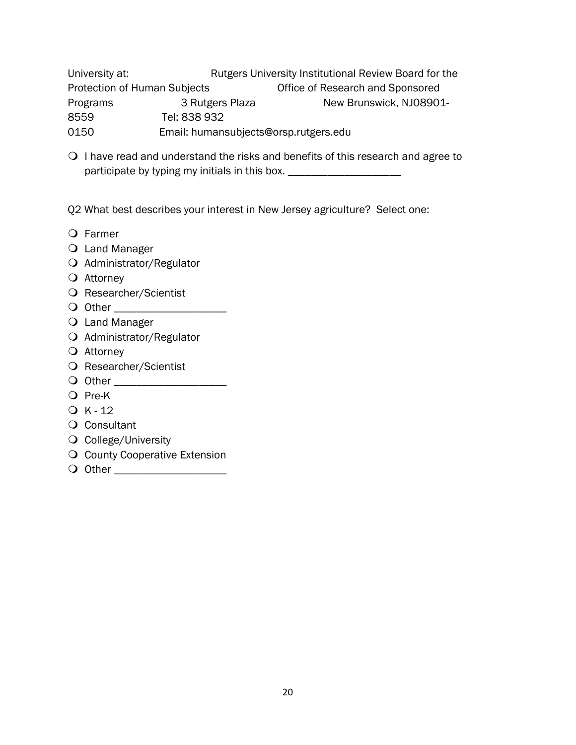University at: Rutgers University Institutional Review Board for the Protection of Human Subjects **Office of Research and Sponsored** Programs 3 Rutgers Plaza New Brunswick, NJ08901-8559 Tel: 838 932 0150 Email: humansubjects@orsp.rutgers.edu

 $\bigcirc$  I have read and understand the risks and benefits of this research and agree to participate by typing my initials in this box. \_\_\_\_\_\_\_\_\_\_\_\_\_\_\_\_\_\_\_\_\_\_\_\_\_\_\_\_\_\_\_\_\_

Q2 What best describes your interest in New Jersey agriculture? Select one:

- Farmer
- Land Manager
- O Administrator/Regulator
- Attorney
- O Researcher/Scientist
- O Other **Definition**
- O Land Manager
- O Administrator/Regulator
- O Attorney
- O Researcher/Scientist
- Other \_\_\_\_\_\_\_\_\_\_\_\_\_\_\_\_\_\_\_\_
- O Pre-K
- $Q$  K 12
- Q Consultant
- Q College/University
- **Q** County Cooperative Extension
- Other \_\_\_\_\_\_\_\_\_\_\_\_\_\_\_\_\_\_\_\_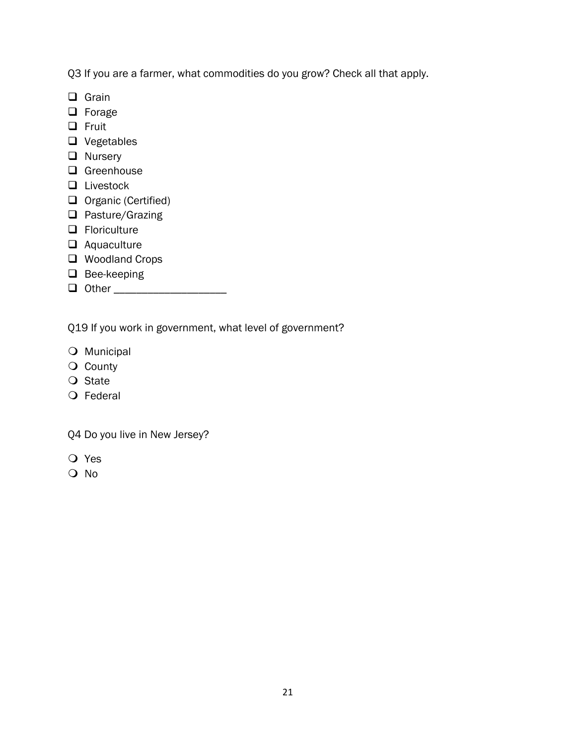Q3 If you are a farmer, what commodities do you grow? Check all that apply.

- □ Grain
- **D** Forage
- $\Box$  Fruit
- □ Vegetables
- **Q** Nursery
- □ Greenhouse
- □ Livestock
- Organic (Certified)
- $\Box$  Pasture/Grazing
- **O** Floriculture
- Aquaculture
- □ Woodland Crops
- $\Box$  Bee-keeping
- Other \_\_\_\_\_\_\_\_\_\_\_\_\_\_\_\_\_\_\_\_

Q19 If you work in government, what level of government?

- O Municipal
- O County
- O State
- O Federal

Q4 Do you live in New Jersey?

- Yes
- O No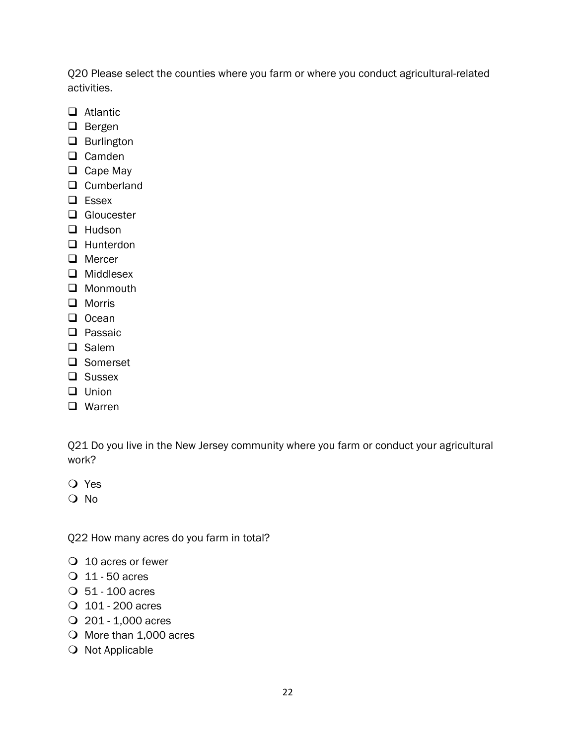Q20 Please select the counties where you farm or where you conduct agricultural-related activities.

- **Q** Atlantic
- $\Box$  Bergen
- **Q** Burlington
- $\Box$  Camden
- $\Box$  Cape May
- □ Cumberland
- $\Box$  Essex
- □ Gloucester
- $\Box$  Hudson
- □ Hunterdon
- **Q** Mercer
- $\Box$  Middlesex
- □ Monmouth
- **Q** Morris
- $\Box$  Ocean
- $\Box$  Passaic
- $\Box$  Salem
- □ Somerset
- **Q** Sussex
- **Q** Union
- **Q** Warren

Q21 Do you live in the New Jersey community where you farm or conduct your agricultural work?

- Yes
- O No

Q22 How many acres do you farm in total?

- O 10 acres or fewer
- 11 50 acres
- 51 100 acres
- 101 200 acres
- 201 1,000 acres
- O More than 1,000 acres
- O Not Applicable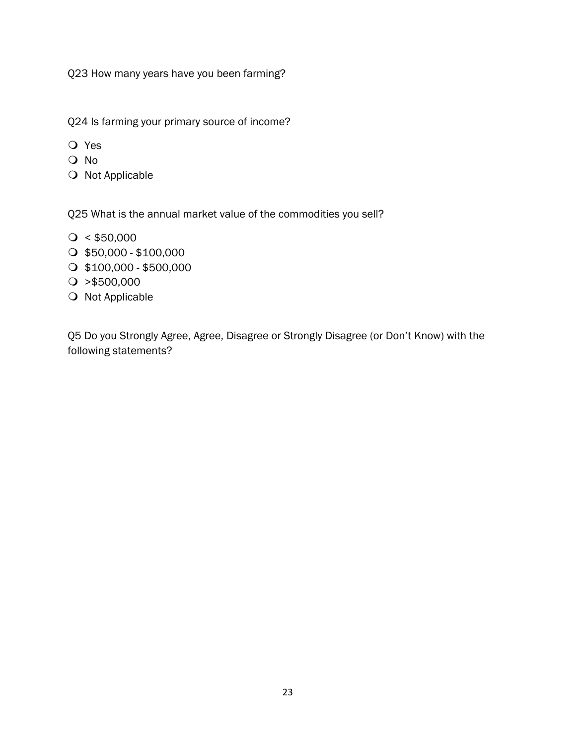Q23 How many years have you been farming?

Q24 Is farming your primary source of income?

- Yes
- O No
- O Not Applicable

Q25 What is the annual market value of the commodities you sell?

- $\bigcirc$  < \$50,000
- $O$  \$50,000 \$100,000
- $\bigcirc$  \$100,000 \$500,000
- $\bigcirc$  >\$500,000
- O Not Applicable

Q5 Do you Strongly Agree, Agree, Disagree or Strongly Disagree (or Don't Know) with the following statements?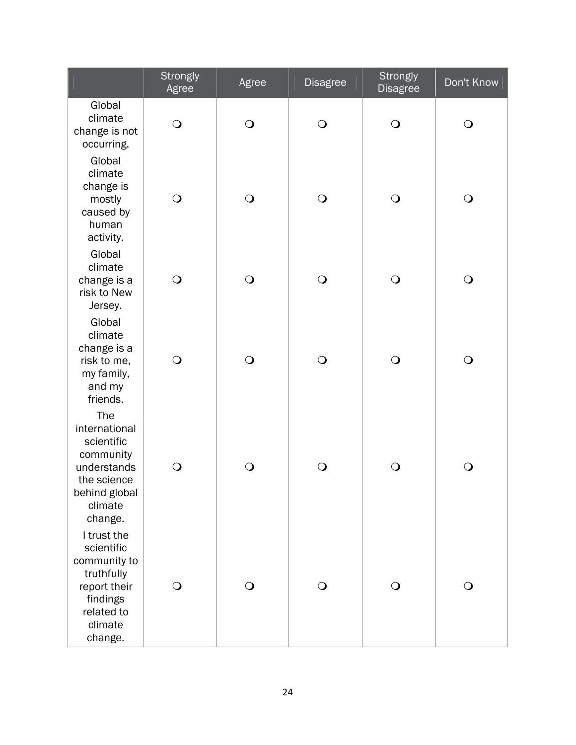|                                                                                                                         | <b>Strongly</b><br>Agree | Agree      | <b>Disagree</b> | <b>Strongly</b><br><b>Disagree</b> | Don't Know |
|-------------------------------------------------------------------------------------------------------------------------|--------------------------|------------|-----------------|------------------------------------|------------|
| Global<br>climate<br>change is not<br>occurring.                                                                        | $\bigcirc$               | $\bigcirc$ | $\bigcirc$      | $\bigcirc$                         | $\bigcirc$ |
| Global<br>climate<br>change is<br>mostly<br>caused by<br>human<br>activity.                                             | $\bigcirc$               | $\bigcirc$ | $\bigcirc$      | $\bigcirc$                         | $\bigcirc$ |
| Global<br>climate<br>change is a<br>risk to New<br>Jersey.                                                              | $\bigcirc$               | $\bigcirc$ | $\bigcirc$      | $\bigcirc$                         | $\bigcirc$ |
| Global<br>climate<br>change is a<br>risk to me,<br>my family,<br>and my<br>friends.                                     | $\bigcirc$               | $\bigcirc$ | $\bigcirc$      | $\bigcirc$                         | $\bigcirc$ |
| The<br>international<br>scientific<br>community<br>understands<br>the science<br>behind global<br>climate<br>change.    | $\bigcirc$               | $\bigcirc$ | $\bigcirc$      | $\bigcirc$                         | $\bigcirc$ |
| I trust the<br>scientific<br>community to<br>truthfully<br>report their<br>findings<br>related to<br>climate<br>change. | $\bigcirc$               | $\Omega$   | $\bigcirc$      | $\bigcirc$                         | $\bigcirc$ |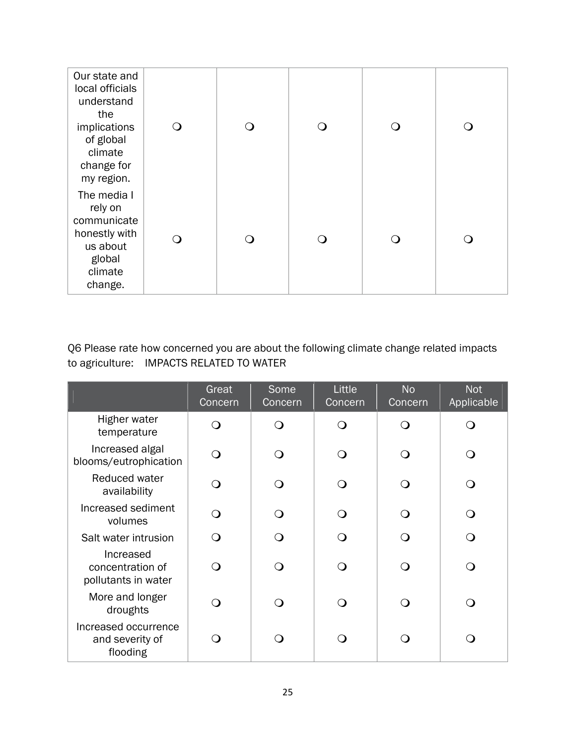| Our state and<br>local officials<br>understand<br>the<br>implications<br>of global<br>climate<br>change for<br>my region. | ∩ | ( ) | ∩ |
|---------------------------------------------------------------------------------------------------------------------------|---|-----|---|
| The media I<br>rely on<br>communicate<br>honestly with<br>us about<br>global<br>climate<br>change.                        | ∩ | ( ) | ∩ |

Q6 Please rate how concerned you are about the following climate change related impacts to agriculture: IMPACTS RELATED TO WATER

|                                                      | Great<br>Concern | Some<br>Concern | Little<br>Concern | <b>No</b><br>Concern | <b>Not</b><br>Applicable |
|------------------------------------------------------|------------------|-----------------|-------------------|----------------------|--------------------------|
| Higher water<br>temperature                          |                  | $\Omega$        | ∩                 |                      |                          |
| Increased algal<br>blooms/eutrophication             |                  | $\epsilon$      |                   |                      |                          |
| Reduced water<br>availability                        |                  | ∩               | ∩                 |                      |                          |
| Increased sediment<br>volumes                        | ∩                | ∩               | ∩                 |                      | ∩                        |
| Salt water intrusion                                 | ⌒                | ⌒               | ∩                 |                      |                          |
| Increased<br>concentration of<br>pollutants in water |                  | ∩               | ∩                 |                      |                          |
| More and longer<br>droughts                          |                  | ு               | ∩                 |                      |                          |
| Increased occurrence<br>and severity of<br>flooding  |                  |                 |                   |                      |                          |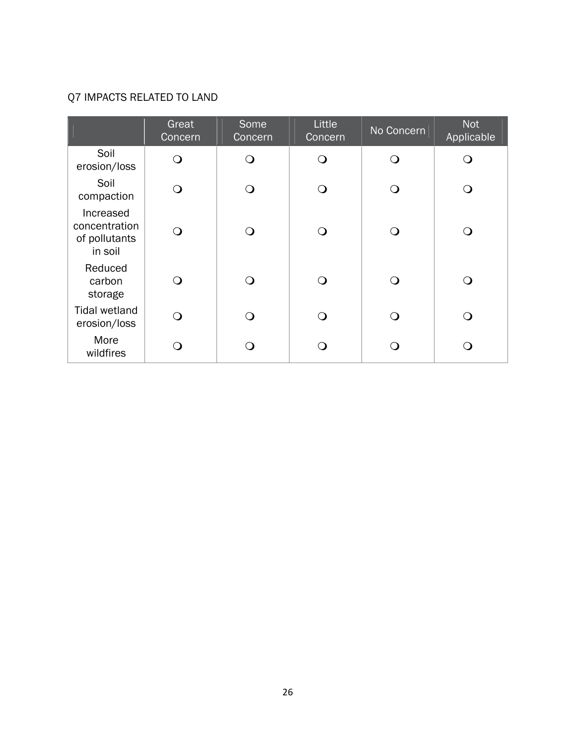# Q7 IMPACTS RELATED TO LAND

|                                                        | Great<br>Concern | Some<br>Concern | Little<br>Concern | No Concern       | <b>Not</b><br>Applicable |
|--------------------------------------------------------|------------------|-----------------|-------------------|------------------|--------------------------|
| Soil<br>erosion/loss                                   | ∩                | $\Omega$        | ∩                 | ∩                | ∩                        |
| Soil<br>compaction                                     | ∩                | ∩               |                   | ∩                | ∩                        |
| Increased<br>concentration<br>of pollutants<br>in soil | ∩                | $\Omega$        |                   | ∩                | ∩                        |
| Reduced<br>carbon<br>storage                           | ∩                | ∩               | ∩                 | ∩                | ⌒                        |
| <b>Tidal wetland</b><br>erosion/loss                   | ∩                | ∩               |                   | $\left( \right)$ | ∩                        |
| More<br>wildfires                                      |                  |                 |                   |                  |                          |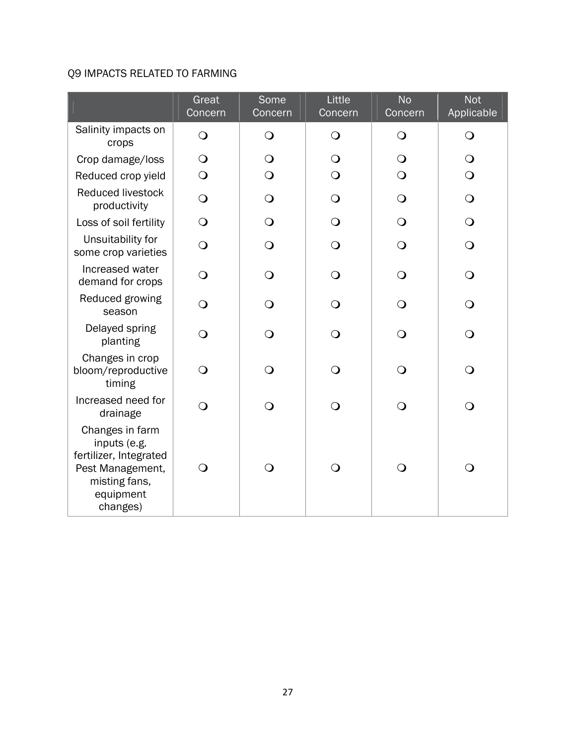# Q9 IMPACTS RELATED TO FARMING

|                                                                                                                         | Great<br>Concern | Some<br>Concern | Little<br>Concern | <b>No</b><br>Concern | <b>Not</b><br>Applicable |
|-------------------------------------------------------------------------------------------------------------------------|------------------|-----------------|-------------------|----------------------|--------------------------|
| Salinity impacts on<br>crops                                                                                            | $\overline{O}$   | $\bigcirc$      | $\bigcirc$        | $\bigcirc$           | $\bigcirc$               |
| Crop damage/loss                                                                                                        | $\bigcirc$       | $\bigcirc$      | $\bigcirc$        | $\bigcirc$           | $\bigcirc$               |
| Reduced crop yield                                                                                                      | $\bigcirc$       | $\bigcirc$      | $\bigcirc$        | $\bigcirc$           | $\bigcirc$               |
| <b>Reduced livestock</b><br>productivity                                                                                | $\bigcirc$       | $\bigcirc$      | $\bigcirc$        | $\bigcirc$           | $\bigcirc$               |
| Loss of soil fertility                                                                                                  | $\bigcirc$       | $\bigcirc$      | $\bigcirc$        | $\bigcirc$           | $\bigcirc$               |
| Unsuitability for<br>some crop varieties                                                                                | $\overline{O}$   | $\bigcirc$      | $\bigcirc$        | $\bigcirc$           | $\bigcirc$               |
| Increased water<br>demand for crops                                                                                     | $\bigcirc$       | $\bigcirc$      | $\bigcirc$        | $\bigcirc$           | $\bigcirc$               |
| Reduced growing<br>season                                                                                               | $\overline{O}$   | $\bigcirc$      | $\Omega$          | $\Omega$             | $\bigcirc$               |
| Delayed spring<br>planting                                                                                              | $\overline{O}$   | $\bigcirc$      | $\bigcirc$        | $\bigcirc$           | $\overline{O}$           |
| Changes in crop<br>bloom/reproductive<br>timing                                                                         | $\Omega$         | $\bigcirc$      | $\Omega$          | $\bigcirc$           | $\bigcirc$               |
| Increased need for<br>drainage                                                                                          | $\overline{O}$   | $\bigcirc$      | $\Omega$          | $\bigcirc$           | $\bigcirc$               |
| Changes in farm<br>inputs (e.g.<br>fertilizer, Integrated<br>Pest Management,<br>misting fans,<br>equipment<br>changes) | $\mathsf{O}$     | $\bigcirc$      | $\bigcirc$        | $\bigcirc$           | $\bigcirc$               |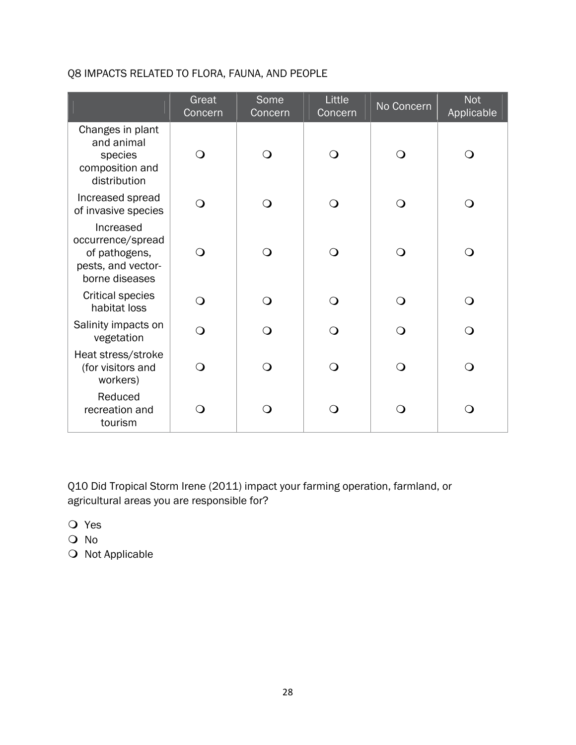# Q8 IMPACTS RELATED TO FLORA, FAUNA, AND PEOPLE

|                                                                                         | Great<br>Concern | Some<br>Concern | Little<br>Concern | No Concern | <b>Not</b><br>Applicable |
|-----------------------------------------------------------------------------------------|------------------|-----------------|-------------------|------------|--------------------------|
| Changes in plant<br>and animal<br>species<br>composition and<br>distribution            | $\bigcirc$       | ∩               | $\Omega$          | $\Omega$   | $\Omega$                 |
| Increased spread<br>of invasive species                                                 | $\Omega$         | ∩               | $\Omega$          | $\Omega$   | $\Omega$                 |
| Increased<br>occurrence/spread<br>of pathogens,<br>pests, and vector-<br>borne diseases | $\Omega$         | ∩               | $\Omega$          | ∩          | $\Omega$                 |
| <b>Critical species</b><br>habitat loss                                                 | $\bigcirc$       | ∩               | ∩                 | ∩          | $\overline{O}$           |
| Salinity impacts on<br>vegetation                                                       | $\Omega$         | ∩               | $\Omega$          | ∩          | $\Omega$                 |
| Heat stress/stroke<br>(for visitors and<br>workers)                                     | ∩                | ∩               | $\Omega$          | ∩          | $\bigcirc$               |
| Reduced<br>recreation and<br>tourism                                                    | $\Omega$         | ∩               | ∩                 | ⌒          | ∩                        |

Q10 Did Tropical Storm Irene (2011) impact your farming operation, farmland, or agricultural areas you are responsible for?

- Yes
- O No
- $\bigcirc$  Not Applicable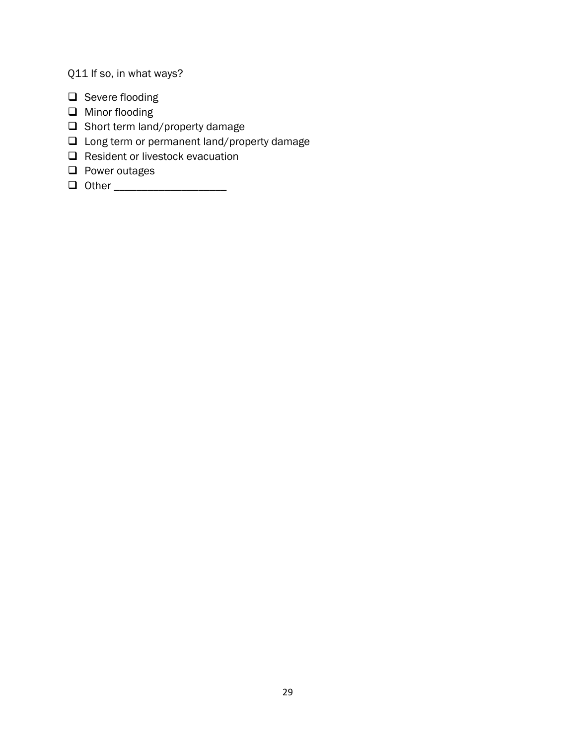Q11 If so, in what ways?

- $\Box$  Severe flooding
- **Q** Minor flooding
- $\Box$  Short term land/property damage
- □ Long term or permanent land/property damage
- Resident or livestock evacuation
- $\Box$  Power outages
- **Q** Other \_\_\_\_\_\_\_\_\_\_\_\_\_\_\_\_\_\_\_\_\_\_\_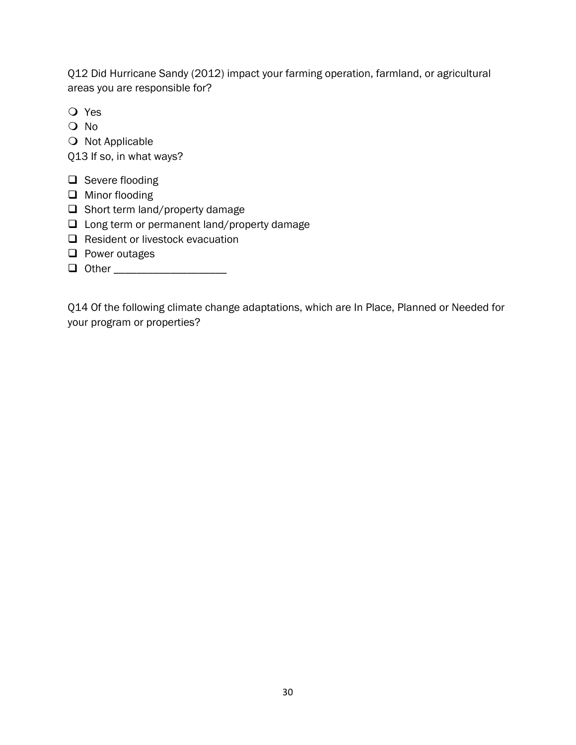Q12 Did Hurricane Sandy (2012) impact your farming operation, farmland, or agricultural areas you are responsible for?

- Yes
- O No
- O Not Applicable

Q13 If so, in what ways?

- $\Box$  Severe flooding
- □ Minor flooding
- $\Box$  Short term land/property damage
- □ Long term or permanent land/property damage
- $\Box$  Resident or livestock evacuation
- $\Box$  Power outages
- Other \_\_\_\_\_\_\_\_\_\_\_\_\_\_\_\_\_\_\_\_

Q14 Of the following climate change adaptations, which are In Place, Planned or Needed for your program or properties?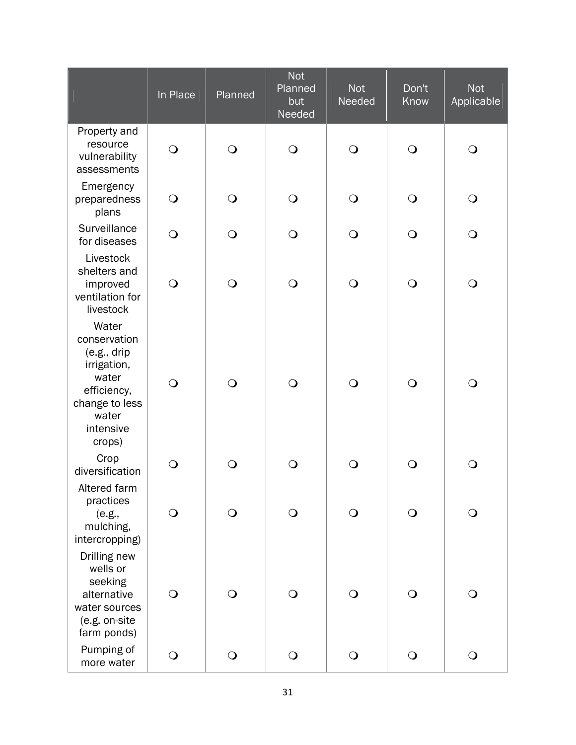|                                                                                                                                 | In Place   | Planned        | <b>Not</b><br>Planned<br>but<br>Needed | <b>Not</b><br>Needed | Don't<br>Know | <b>Not</b><br>Applicable |
|---------------------------------------------------------------------------------------------------------------------------------|------------|----------------|----------------------------------------|----------------------|---------------|--------------------------|
| Property and<br>resource<br>vulnerability<br>assessments                                                                        | $\bigcirc$ | $\bigcirc$     | $\bigcirc$                             | $\bigcirc$           | $\bigcirc$    | $\bigcirc$               |
| Emergency<br>preparedness<br>plans                                                                                              | $\bigcirc$ | $\bigcirc$     | $\bigcirc$                             | $\bigcirc$           | $\bigcirc$    | $\bigcirc$               |
| Surveillance<br>for diseases                                                                                                    | $\bigcirc$ | $\bigcirc$     | $\bigcirc$                             | $\bigcirc$           | $\bigcirc$    | $\bigcirc$               |
| Livestock<br>shelters and<br>improved<br>ventilation for<br>livestock                                                           | $\bigcirc$ | $\bigcirc$     | $\bigcirc$                             | $\bigcirc$           | $\bigcirc$    | $\bigcirc$               |
| Water<br>conservation<br>(e.g., dirip)<br>irrigation,<br>water<br>efficiency,<br>change to less<br>water<br>intensive<br>crops) | $\bigcirc$ | $\bigcirc$     | $\bigcirc$                             | $\bigcirc$           | $\bigcirc$    | $\bigcirc$               |
| Crop<br>diversification                                                                                                         | $\bigcirc$ | $\bigcirc$     | $\bigcirc$                             | $\bigcirc$           | $\bigcirc$    | $\bigcirc$               |
| Altered farm<br>practices<br>(e.g.,<br>mulching,<br>intercropping)                                                              | $\bigcirc$ | $\bigcirc$     | $\bigcirc$                             | $\bigcirc$           | $\bigcirc$    | $\bigcirc$               |
| Drilling new<br>wells or<br>seeking<br>alternative<br>water sources<br>(e.g. on-site<br>farm ponds)                             | $\bigcirc$ | $\overline{O}$ | $\bigcirc$                             | $\bigcirc$           | $\bigcirc$    | $\bigcirc$               |
| Pumping of<br>more water                                                                                                        | $\bigcirc$ | $\mathbf{O}$   | $\bigcirc$                             | $\bigcirc$           | $\bigcirc$    | $\bigcirc$               |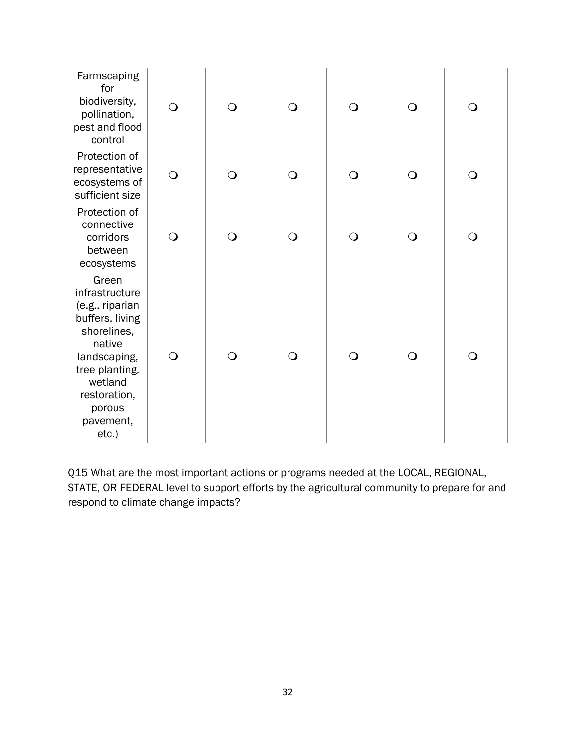| Farmscaping<br>for<br>biodiversity,<br>pollination,<br>pest and flood<br>control                                                                                                       | $\bigcirc$ | $\bigcirc$     | $\bigcirc$ | $\bigcirc$ | $\bigcirc$ | $\bigcirc$ |
|----------------------------------------------------------------------------------------------------------------------------------------------------------------------------------------|------------|----------------|------------|------------|------------|------------|
| Protection of<br>representative<br>ecosystems of<br>sufficient size                                                                                                                    | $\bigcirc$ | $\overline{O}$ | $\bigcirc$ | $\bigcirc$ | $\bigcirc$ | $\bigcirc$ |
| Protection of<br>connective<br>corridors<br>between<br>ecosystems                                                                                                                      | $\bigcirc$ | $\overline{O}$ | $\bigcirc$ | $\bigcirc$ | $\bigcirc$ | $\bigcirc$ |
| Green<br>infrastructure<br>(e.g., riparian<br>buffers, living<br>shorelines,<br>native<br>landscaping,<br>tree planting,<br>wetland<br>restoration,<br>porous<br>pavement,<br>$etc.$ ) | $\bigcirc$ | $\overline{O}$ | $\bigcirc$ | $\bigcirc$ | $\bigcirc$ | $\bigcirc$ |

Q15 What are the most important actions or programs needed at the LOCAL, REGIONAL, STATE, OR FEDERAL level to support efforts by the agricultural community to prepare for and respond to climate change impacts?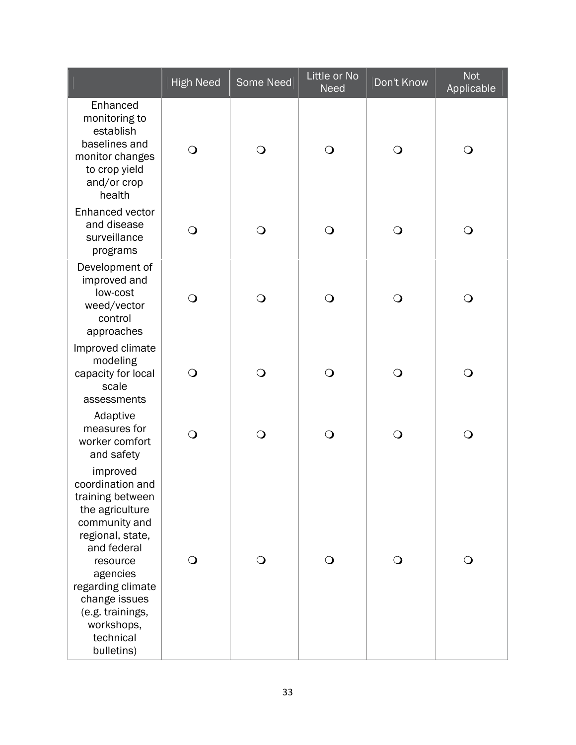|                                                                                                                                                                                                                                                    | <b>High Need</b> | Some Need      | Little or No<br><b>Need</b> | Don't Know   | <b>Not</b><br>Applicable |
|----------------------------------------------------------------------------------------------------------------------------------------------------------------------------------------------------------------------------------------------------|------------------|----------------|-----------------------------|--------------|--------------------------|
| Enhanced<br>monitoring to<br>establish<br>baselines and<br>monitor changes<br>to crop yield<br>and/or crop<br>health                                                                                                                               | $\bigcirc$       | $\bigcirc$     | $\bigcirc$                  | $\bigcirc$   | $\bigcirc$               |
| Enhanced vector<br>and disease<br>surveillance<br>programs                                                                                                                                                                                         | $\bigcirc$       | $\overline{O}$ | $\bigcirc$                  | $\bigcirc$   | $\mathbf{\mathsf{O}}$    |
| Development of<br>improved and<br>low-cost<br>weed/vector<br>control<br>approaches                                                                                                                                                                 | $\bigcirc$       | $\bigcirc$     | $\bigcirc$                  | $\bigcirc$   | $\mathbf{\mathsf{O}}$    |
| Improved climate<br>modeling<br>capacity for local<br>scale<br>assessments                                                                                                                                                                         | $\bigcirc$       | $\bigcirc$     | $\bigcirc$                  | $\bigcirc$   | $\bigcirc$               |
| Adaptive<br>measures for<br>worker comfort<br>and safety                                                                                                                                                                                           | $\overline{O}$   | $\bigcirc$     | $\bigcirc$                  | $\bigcirc$   | $\mathbf{\mathsf{O}}$    |
| improved<br>coordination and<br>training between<br>the agriculture<br>community and<br>regional, state,<br>and federal<br>resource<br>agencies<br>regarding climate<br>change issues<br>(e.g. trainings,<br>workshops,<br>technical<br>bulletins) | $\bigcirc$       | $\mathsf{O}$   | $\bigcirc$                  | $\mathsf{O}$ | $\bigcirc$               |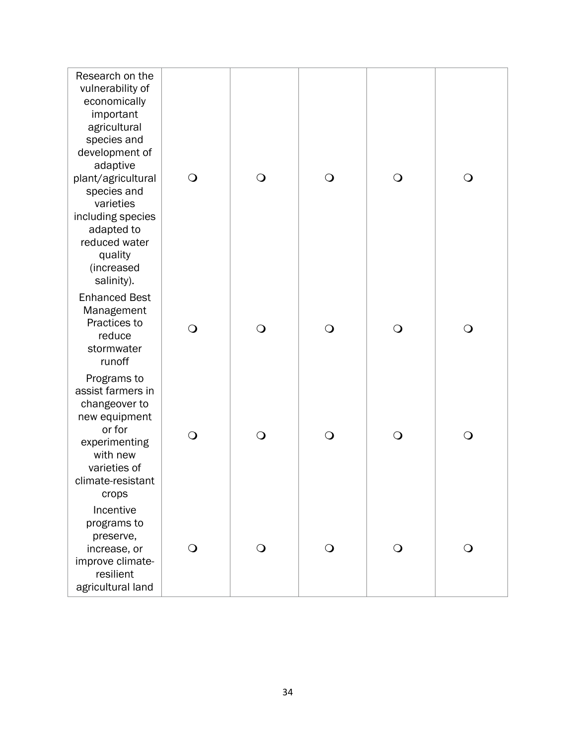| Research on the<br>vulnerability of<br>economically<br>important<br>agricultural<br>species and<br>development of<br>adaptive<br>plant/agricultural<br>species and<br>varieties<br>including species<br>adapted to<br>reduced water<br>quality<br>(increased | $\bigcirc$ | $\bigcirc$ | $\bigcirc$ | $\bigcirc$ | $\bigcirc$   |
|--------------------------------------------------------------------------------------------------------------------------------------------------------------------------------------------------------------------------------------------------------------|------------|------------|------------|------------|--------------|
| salinity).<br><b>Enhanced Best</b><br>Management<br>Practices to<br>reduce<br>stormwater<br>runoff                                                                                                                                                           | $\bigcirc$ | $\bigcirc$ | $\bigcirc$ | $\bigcirc$ | $\bigcirc$   |
| Programs to<br>assist farmers in<br>changeover to<br>new equipment<br>or for<br>experimenting<br>with new<br>varieties of<br>climate-resistant<br>crops                                                                                                      | $\bigcirc$ | $\bigcirc$ | $\bigcirc$ | $\bigcirc$ | $\mathsf{O}$ |
| Incentive<br>programs to<br>preserve,<br>increase, or<br>improve climate-<br>resilient<br>agricultural land                                                                                                                                                  | $\bigcirc$ | $\bigcirc$ | $\bigcirc$ | $\bigcirc$ | $\bigcirc$   |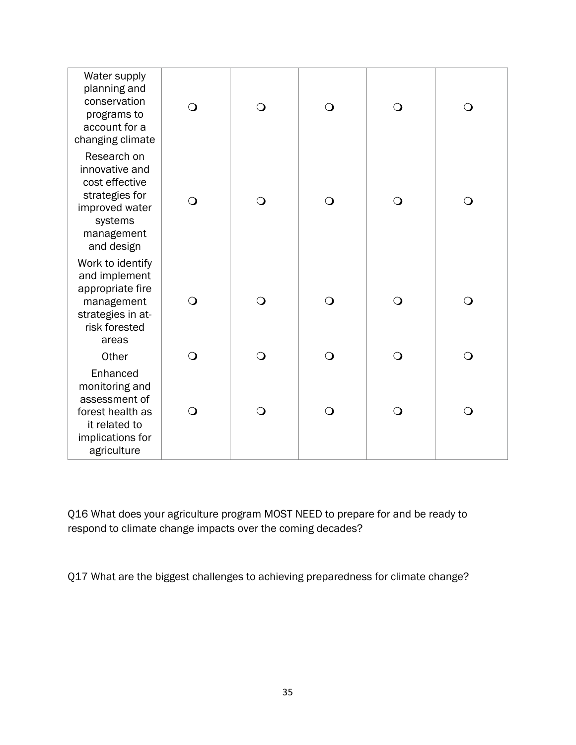| Water supply<br>planning and<br>conservation<br>programs to<br>account for a<br>changing climate                           | $\bigcirc$ | $\bigcirc$ | $\bigcirc$ | $\bigcirc$ | $\bigcirc$     |
|----------------------------------------------------------------------------------------------------------------------------|------------|------------|------------|------------|----------------|
| Research on<br>innovative and<br>cost effective<br>strategies for<br>improved water<br>systems<br>management<br>and design | $\Omega$   | $\bigcirc$ | $\bigcirc$ | $\bigcirc$ | $\bigcirc$     |
| Work to identify<br>and implement<br>appropriate fire<br>management<br>strategies in at-<br>risk forested<br>areas         | $\bigcirc$ | $\bigcirc$ | $\bigcirc$ | $\bigcirc$ | $\bigcirc$     |
| Other                                                                                                                      | $\bigcirc$ | $\bigcirc$ | $\bigcirc$ | $\Omega$   | $\bigcirc$     |
| Enhanced<br>monitoring and<br>assessment of<br>forest health as<br>it related to<br>implications for<br>agriculture        | $\bigcirc$ | $\bigcirc$ | $\bigcirc$ | $\bigcirc$ | $\overline{O}$ |

Q16 What does your agriculture program MOST NEED to prepare for and be ready to respond to climate change impacts over the coming decades?

Q17 What are the biggest challenges to achieving preparedness for climate change?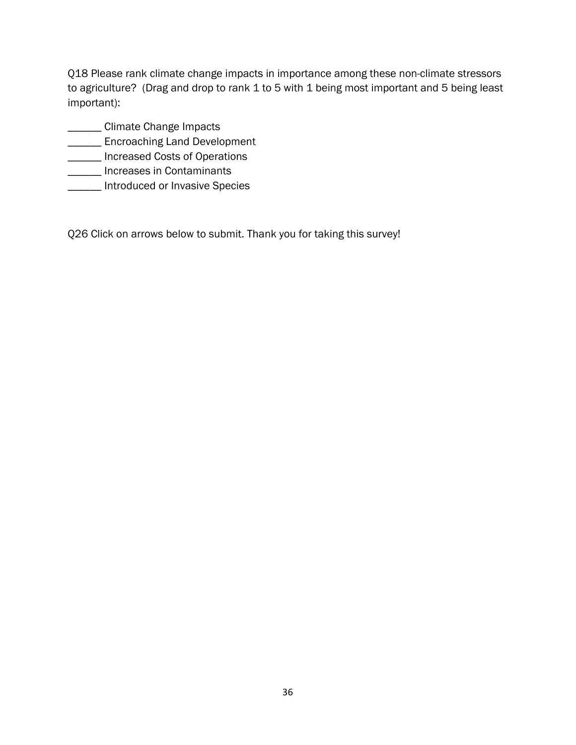Q18 Please rank climate change impacts in importance among these non-climate stressors to agriculture? (Drag and drop to rank 1 to 5 with 1 being most important and 5 being least important):

- **\_\_\_\_\_\_ Climate Change Impacts**
- **\_\_\_\_\_\_\_** Encroaching Land Development
- \_\_\_\_\_\_ Increased Costs of Operations
- **\_\_\_\_\_\_** Increases in Contaminants
- **\_\_\_\_\_\_** Introduced or Invasive Species

Q26 Click on arrows below to submit. Thank you for taking this survey!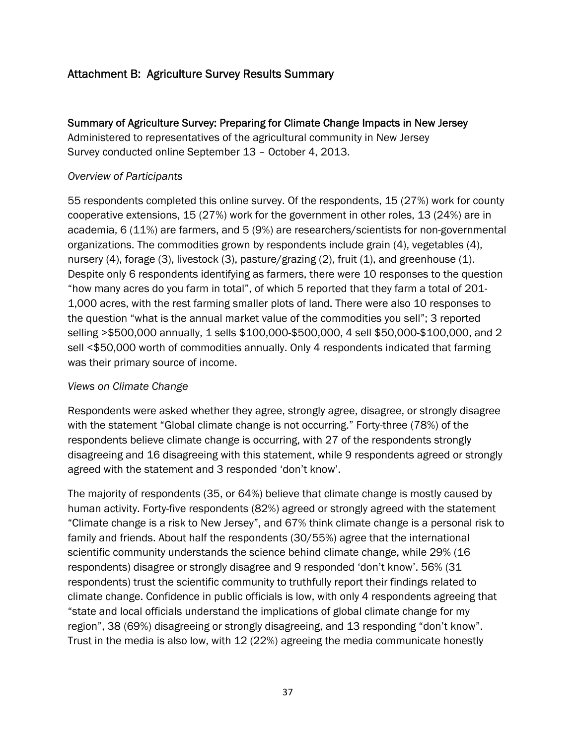# Attachment B: Agriculture Survey Results Summary

Summary of Agriculture Survey: Preparing for Climate Change Impacts in New Jersey Administered to representatives of the agricultural community in New Jersey Survey conducted online September 13 – October 4, 2013.

### *Overview of Participants*

55 respondents completed this online survey. Of the respondents, 15 (27%) work for county cooperative extensions, 15 (27%) work for the government in other roles, 13 (24%) are in academia, 6 (11%) are farmers, and 5 (9%) are researchers/scientists for non-governmental organizations. The commodities grown by respondents include grain (4), vegetables (4), nursery (4), forage (3), livestock (3), pasture/grazing (2), fruit (1), and greenhouse (1). Despite only 6 respondents identifying as farmers, there were 10 responses to the question "how many acres do you farm in total", of which 5 reported that they farm a total of 201- 1,000 acres, with the rest farming smaller plots of land. There were also 10 responses to the question "what is the annual market value of the commodities you sell"; 3 reported selling >\$500,000 annually, 1 sells \$100,000-\$500,000, 4 sell \$50,000-\$100,000, and 2 sell <\$50,000 worth of commodities annually. Only 4 respondents indicated that farming was their primary source of income.

#### *Views on Climate Change*

Respondents were asked whether they agree, strongly agree, disagree, or strongly disagree with the statement "Global climate change is not occurring." Forty-three (78%) of the respondents believe climate change is occurring, with 27 of the respondents strongly disagreeing and 16 disagreeing with this statement, while 9 respondents agreed or strongly agreed with the statement and 3 responded 'don't know'.

The majority of respondents (35, or 64%) believe that climate change is mostly caused by human activity. Forty-five respondents (82%) agreed or strongly agreed with the statement "Climate change is a risk to New Jersey", and 67% think climate change is a personal risk to family and friends. About half the respondents (30/55%) agree that the international scientific community understands the science behind climate change, while 29% (16 respondents) disagree or strongly disagree and 9 responded 'don't know'. 56% (31 respondents) trust the scientific community to truthfully report their findings related to climate change. Confidence in public officials is low, with only 4 respondents agreeing that "state and local officials understand the implications of global climate change for my region", 38 (69%) disagreeing or strongly disagreeing, and 13 responding "don't know". Trust in the media is also low, with 12 (22%) agreeing the media communicate honestly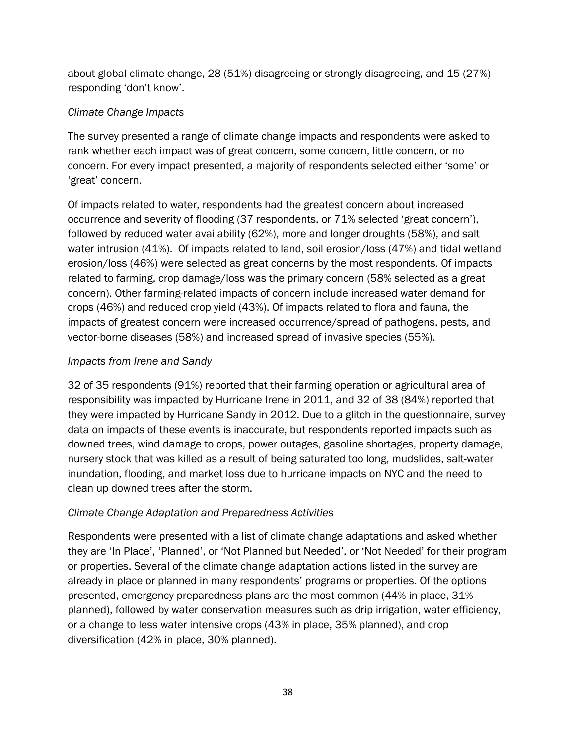about global climate change, 28 (51%) disagreeing or strongly disagreeing, and 15 (27%) responding 'don't know'.

# *Climate Change Impacts*

The survey presented a range of climate change impacts and respondents were asked to rank whether each impact was of great concern, some concern, little concern, or no concern. For every impact presented, a majority of respondents selected either 'some' or 'great' concern.

Of impacts related to water, respondents had the greatest concern about increased occurrence and severity of flooding (37 respondents, or 71% selected 'great concern'), followed by reduced water availability (62%), more and longer droughts (58%), and salt water intrusion (41%). Of impacts related to land, soil erosion/loss (47%) and tidal wetland erosion/loss (46%) were selected as great concerns by the most respondents. Of impacts related to farming, crop damage/loss was the primary concern (58% selected as a great concern). Other farming-related impacts of concern include increased water demand for crops (46%) and reduced crop yield (43%). Of impacts related to flora and fauna, the impacts of greatest concern were increased occurrence/spread of pathogens, pests, and vector-borne diseases (58%) and increased spread of invasive species (55%).

# *Impacts from Irene and Sandy*

32 of 35 respondents (91%) reported that their farming operation or agricultural area of responsibility was impacted by Hurricane Irene in 2011, and 32 of 38 (84%) reported that they were impacted by Hurricane Sandy in 2012. Due to a glitch in the questionnaire, survey data on impacts of these events is inaccurate, but respondents reported impacts such as downed trees, wind damage to crops, power outages, gasoline shortages, property damage, nursery stock that was killed as a result of being saturated too long, mudslides, salt-water inundation, flooding, and market loss due to hurricane impacts on NYC and the need to clean up downed trees after the storm.

# *Climate Change Adaptation and Preparedness Activities*

Respondents were presented with a list of climate change adaptations and asked whether they are 'In Place', 'Planned', or 'Not Planned but Needed', or 'Not Needed' for their program or properties. Several of the climate change adaptation actions listed in the survey are already in place or planned in many respondents' programs or properties. Of the options presented, emergency preparedness plans are the most common (44% in place, 31% planned), followed by water conservation measures such as drip irrigation, water efficiency, or a change to less water intensive crops (43% in place, 35% planned), and crop diversification (42% in place, 30% planned).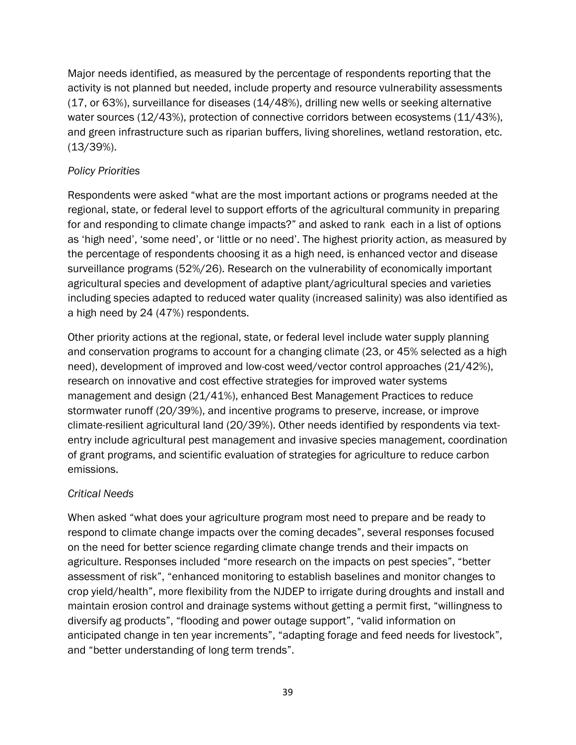Major needs identified, as measured by the percentage of respondents reporting that the activity is not planned but needed, include property and resource vulnerability assessments (17, or 63%), surveillance for diseases (14/48%), drilling new wells or seeking alternative water sources (12/43%), protection of connective corridors between ecosystems (11/43%), and green infrastructure such as riparian buffers, living shorelines, wetland restoration, etc. (13/39%).

# *Policy Priorities*

Respondents were asked "what are the most important actions or programs needed at the regional, state, or federal level to support efforts of the agricultural community in preparing for and responding to climate change impacts?" and asked to rank each in a list of options as 'high need', 'some need', or 'little or no need'. The highest priority action, as measured by the percentage of respondents choosing it as a high need, is enhanced vector and disease surveillance programs (52%/26). Research on the vulnerability of economically important agricultural species and development of adaptive plant/agricultural species and varieties including species adapted to reduced water quality (increased salinity) was also identified as a high need by 24 (47%) respondents.

Other priority actions at the regional, state, or federal level include water supply planning and conservation programs to account for a changing climate (23, or 45% selected as a high need), development of improved and low-cost weed/vector control approaches (21/42%), research on innovative and cost effective strategies for improved water systems management and design (21/41%), enhanced Best Management Practices to reduce stormwater runoff (20/39%), and incentive programs to preserve, increase, or improve climate-resilient agricultural land (20/39%). Other needs identified by respondents via textentry include agricultural pest management and invasive species management, coordination of grant programs, and scientific evaluation of strategies for agriculture to reduce carbon emissions.

# *Critical Needs*

When asked "what does your agriculture program most need to prepare and be ready to respond to climate change impacts over the coming decades", several responses focused on the need for better science regarding climate change trends and their impacts on agriculture. Responses included "more research on the impacts on pest species", "better assessment of risk", "enhanced monitoring to establish baselines and monitor changes to crop yield/health", more flexibility from the NJDEP to irrigate during droughts and install and maintain erosion control and drainage systems without getting a permit first, "willingness to diversify ag products", "flooding and power outage support", "valid information on anticipated change in ten year increments", "adapting forage and feed needs for livestock", and "better understanding of long term trends".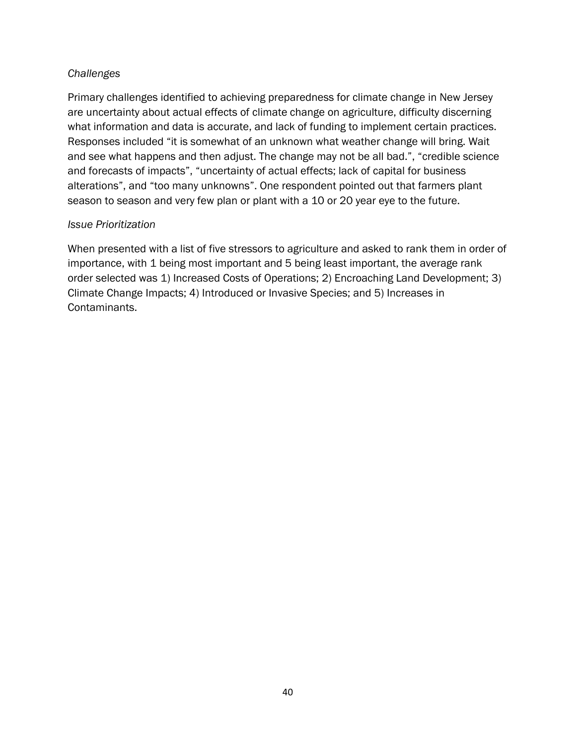# *Challenges*

Primary challenges identified to achieving preparedness for climate change in New Jersey are uncertainty about actual effects of climate change on agriculture, difficulty discerning what information and data is accurate, and lack of funding to implement certain practices. Responses included "it is somewhat of an unknown what weather change will bring. Wait and see what happens and then adjust. The change may not be all bad.", "credible science and forecasts of impacts", "uncertainty of actual effects; lack of capital for business alterations", and "too many unknowns". One respondent pointed out that farmers plant season to season and very few plan or plant with a 10 or 20 year eye to the future.

### *Issue Prioritization*

When presented with a list of five stressors to agriculture and asked to rank them in order of importance, with 1 being most important and 5 being least important, the average rank order selected was 1) Increased Costs of Operations; 2) Encroaching Land Development; 3) Climate Change Impacts; 4) Introduced or Invasive Species; and 5) Increases in Contaminants.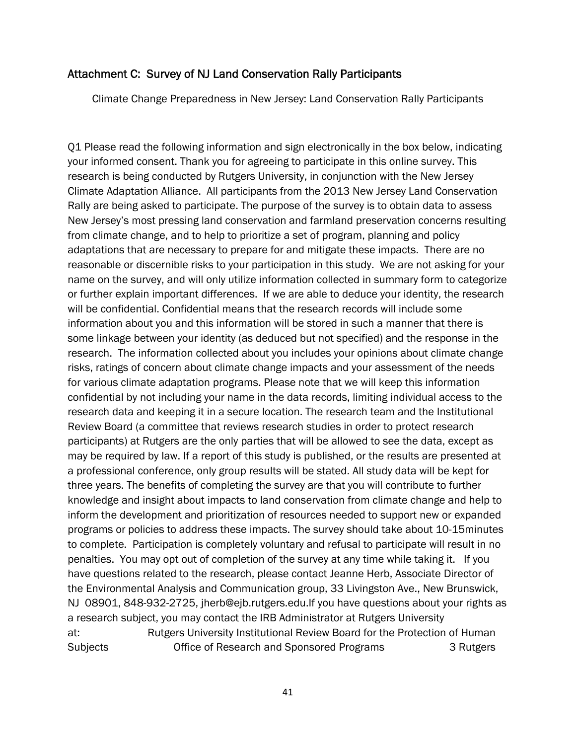# Attachment C: Survey of NJ Land Conservation Rally Participants

Climate Change Preparedness in New Jersey: Land Conservation Rally Participants

Q1 Please read the following information and sign electronically in the box below, indicating your informed consent. Thank you for agreeing to participate in this online survey. This research is being conducted by Rutgers University, in conjunction with the New Jersey Climate Adaptation Alliance. All participants from the 2013 New Jersey Land Conservation Rally are being asked to participate. The purpose of the survey is to obtain data to assess New Jersey's most pressing land conservation and farmland preservation concerns resulting from climate change, and to help to prioritize a set of program, planning and policy adaptations that are necessary to prepare for and mitigate these impacts. There are no reasonable or discernible risks to your participation in this study. We are not asking for your name on the survey, and will only utilize information collected in summary form to categorize or further explain important differences. If we are able to deduce your identity, the research will be confidential. Confidential means that the research records will include some information about you and this information will be stored in such a manner that there is some linkage between your identity (as deduced but not specified) and the response in the research. The information collected about you includes your opinions about climate change risks, ratings of concern about climate change impacts and your assessment of the needs for various climate adaptation programs. Please note that we will keep this information confidential by not including your name in the data records, limiting individual access to the research data and keeping it in a secure location. The research team and the Institutional Review Board (a committee that reviews research studies in order to protect research participants) at Rutgers are the only parties that will be allowed to see the data, except as may be required by law. If a report of this study is published, or the results are presented at a professional conference, only group results will be stated. All study data will be kept for three years. The benefits of completing the survey are that you will contribute to further knowledge and insight about impacts to land conservation from climate change and help to inform the development and prioritization of resources needed to support new or expanded programs or policies to address these impacts. The survey should take about 10-15minutes to complete. Participation is completely voluntary and refusal to participate will result in no penalties. You may opt out of completion of the survey at any time while taking it. If you have questions related to the research, please contact Jeanne Herb, Associate Director of the Environmental Analysis and Communication group, 33 Livingston Ave., New Brunswick, NJ 08901, 848-932-2725, jherb@ejb.rutgers.edu.If you have questions about your rights as a research subject, you may contact the IRB Administrator at Rutgers University at: Rutgers University Institutional Review Board for the Protection of Human Subjects Office of Research and Sponsored Programs 3 Rutgers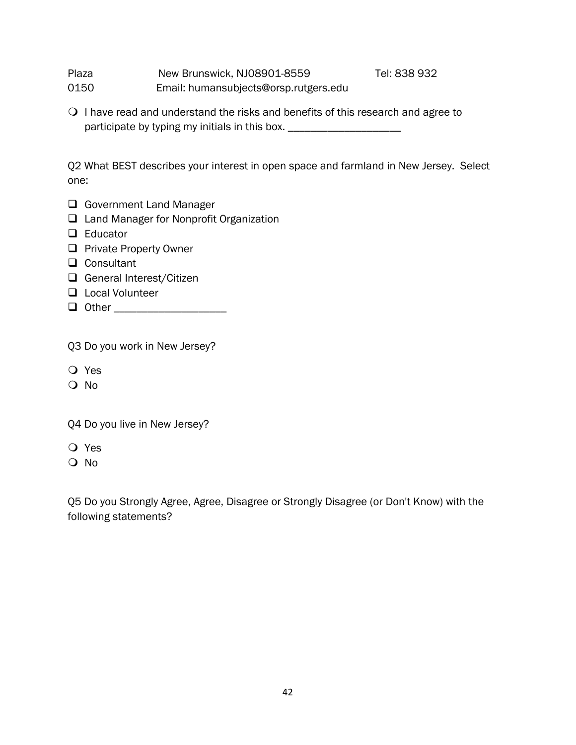Plaza **New Brunswick, NJ08901-8559** Tel: 838 932 0150 Email: humansubjects@orsp.rutgers.edu

 $\bigcirc$  I have read and understand the risks and benefits of this research and agree to participate by typing my initials in this box. \_\_\_\_\_\_\_\_\_\_\_\_\_\_\_\_\_\_\_\_\_\_\_\_\_\_\_\_\_\_\_\_\_

Q2 What BEST describes your interest in open space and farmland in New Jersey. Select one:

- Government Land Manager
- □ Land Manager for Nonprofit Organization
- $\Box$  Educator
- **Private Property Owner**
- □ Consultant
- General Interest/Citizen
- **Local Volunteer**
- Other \_\_\_\_\_\_\_\_\_\_\_\_\_\_\_\_\_\_\_\_

Q3 Do you work in New Jersey?

- Yes
- $\Omega$  No

Q4 Do you live in New Jersey?

- Yes
- O No

Q5 Do you Strongly Agree, Agree, Disagree or Strongly Disagree (or Don't Know) with the following statements?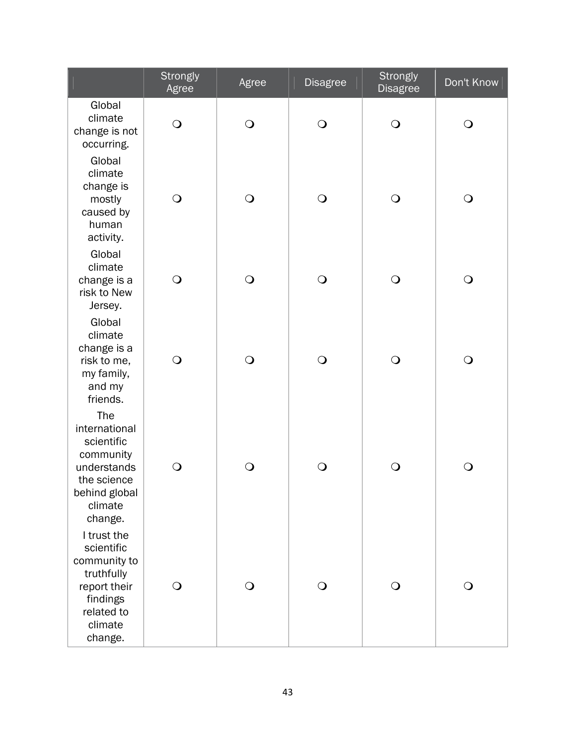|                                                                                                                         | Strongly<br>Agree | Agree          | <b>Disagree</b> | Strongly<br><b>Disagree</b> | Don't Know |
|-------------------------------------------------------------------------------------------------------------------------|-------------------|----------------|-----------------|-----------------------------|------------|
| Global<br>climate<br>change is not<br>occurring.                                                                        | $\bigcirc$        | $\bigcirc$     | $\bigcirc$      | $\bigcirc$                  | $\bigcirc$ |
| Global<br>climate<br>change is<br>mostly<br>caused by<br>human<br>activity.                                             | $\bigcirc$        | $\bigcirc$     | $\bigcirc$      | $\bigcirc$                  | $\bigcirc$ |
| Global<br>climate<br>change is a<br>risk to New<br>Jersey.                                                              | $\bigcirc$        | $\bigcirc$     | $\bigcirc$      | $\bigcirc$                  | $\bigcirc$ |
| Global<br>climate<br>change is a<br>risk to me,<br>my family,<br>and my<br>friends.                                     | $\bigcirc$        | $\bigcirc$     | $\bigcirc$      | $\bigcirc$                  | $\bigcirc$ |
| The<br>international<br>scientific<br>community<br>understands<br>the science<br>behind global<br>climate<br>change.    | $\bigcirc$        | $\bigcirc$     | $\bigcirc$      | $\bigcirc$                  | $\bigcirc$ |
| I trust the<br>scientific<br>community to<br>truthfully<br>report their<br>findings<br>related to<br>climate<br>change. | $\bigcirc$        | $\overline{O}$ | $\bigcirc$      | $\bigcirc$                  | $\bigcirc$ |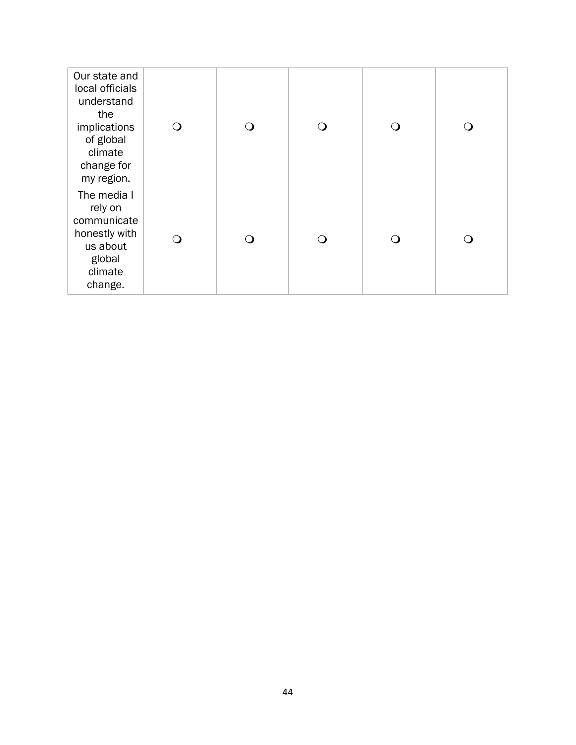| Our state and<br>local officials<br>understand<br>the<br>implications<br>of global<br>climate<br>change for<br>my region. | $\mathbf{O}$ | ∩                               | $\Omega$ | ∩ |
|---------------------------------------------------------------------------------------------------------------------------|--------------|---------------------------------|----------|---|
| The media I<br>rely on<br>communicate<br>honestly with<br>us about<br>global<br>climate<br>change.                        | $\Omega$     | $\left(\begin{array}{c}\right)$ | ∩        | 0 |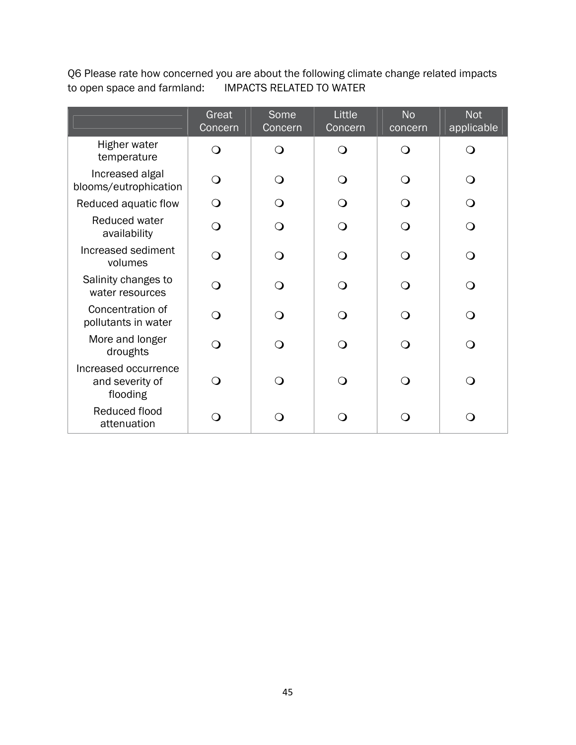Q6 Please rate how concerned you are about the following climate change related impacts to open space and farmland: IMPACTS RELATED TO WATER

|                                                     | Great<br>Concern | Some<br>Concern | Little<br>Concern | <b>No</b><br>concern | <b>Not</b><br>applicable |
|-----------------------------------------------------|------------------|-----------------|-------------------|----------------------|--------------------------|
| Higher water<br>temperature                         | ∩                | ∩               | ∩                 | $\Omega$             | ∩                        |
| Increased algal<br>blooms/eutrophication            | ∩                | ∩               | $\Omega$          | ∩                    | $\Omega$                 |
| Reduced aquatic flow                                | ∩                | ∩               | $\Omega$          | ∩                    | $\Omega$                 |
| Reduced water<br>availability                       | $\Omega$         | ∩               | $\bigcirc$        | $\Omega$             | $\Omega$                 |
| Increased sediment<br>volumes                       | $\Omega$         | ∩               | $\bigcirc$        | $\Omega$             | $\bigcirc$               |
| Salinity changes to<br>water resources              | $\Omega$         | ∩               | $\bigcirc$        | $\Omega$             | $\Omega$                 |
| Concentration of<br>pollutants in water             | ∩                | ∩               | $\Omega$          | $\Omega$             | $\Omega$                 |
| More and longer<br>droughts                         | ∩                | ∩               | $\bigcirc$        | ∩                    | ∩                        |
| Increased occurrence<br>and severity of<br>flooding | ∩                | ∩               | $\Omega$          | $\Omega$             | $\Omega$                 |
| Reduced flood<br>attenuation                        | ∩                | ⊖)              | ∩                 | ∩                    | O                        |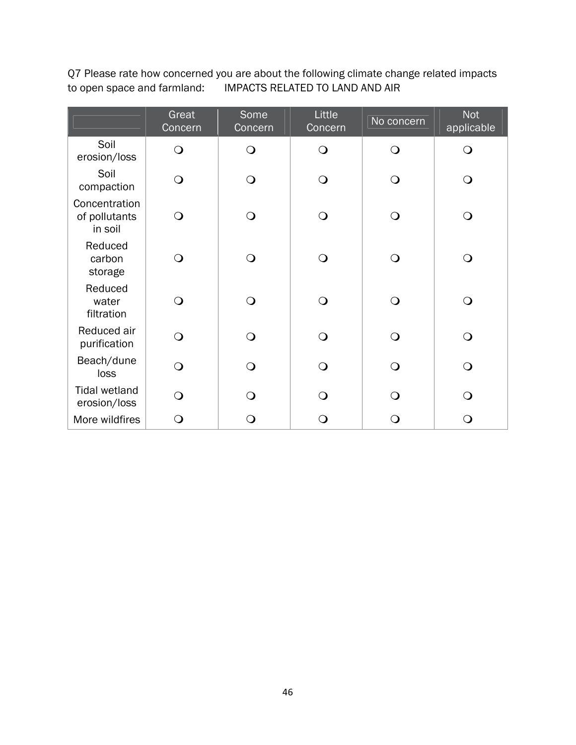Q7 Please rate how concerned you are about the following climate change related impacts to open space and farmland: IMPACTS RELATED TO LAND AND AIR

|                                           | Great<br>Concern | Some<br>Concern | Little<br>Concern | No concern   | <b>Not</b><br>applicable |
|-------------------------------------------|------------------|-----------------|-------------------|--------------|--------------------------|
| Soil<br>erosion/loss                      | $\bigcirc$       | $\bigcirc$      | $\overline{O}$    | $\mathbf{O}$ | $\overline{O}$           |
| Soil<br>compaction                        | $\bigcirc$       | $\bigcirc$      | $\Omega$          | Q            | $\mathsf{O}$             |
| Concentration<br>of pollutants<br>in soil | $\Omega$         | $\bigcirc$      | ∩                 | ∩            | $\bigcirc$               |
| Reduced<br>carbon<br>storage              | $\overline{O}$   | $\bigcirc$      | $\Omega$          | Q            | O                        |
| Reduced<br>water<br>filtration            | $\Omega$         | $\bigcirc$      | $\Omega$          | $\Omega$     | $\bigcirc$               |
| Reduced air<br>purification               | $\overline{O}$   | $\bigcirc$      | $\Omega$          | $\Omega$     | $\overline{O}$           |
| Beach/dune<br>loss                        | $\overline{O}$   | $\bigcirc$      | $\Omega$          | $\mathbf O$  | $\overline{O}$           |
| <b>Tidal wetland</b><br>erosion/loss      | $\Omega$         | $\Omega$        | $\Omega$          | ∩            | $\Omega$                 |
| More wildfires                            | O                | $\mathsf{O}$    |                   | O            | $\bigcirc$               |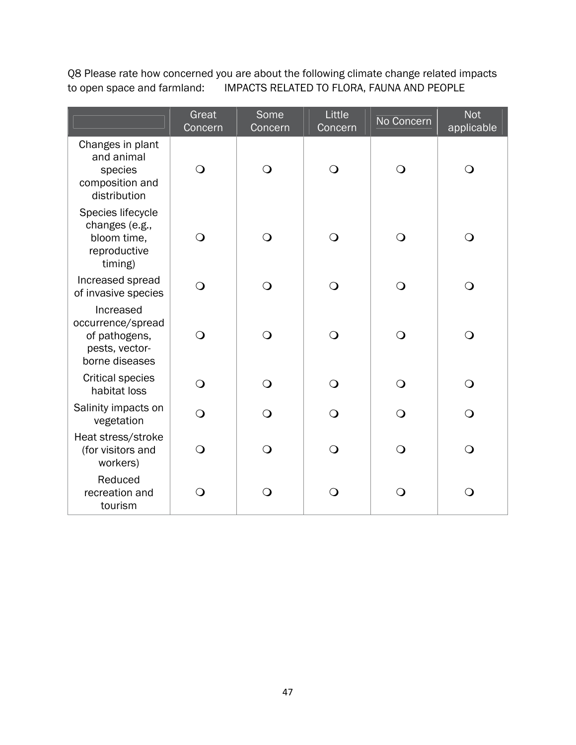Q8 Please rate how concerned you are about the following climate change related impacts to open space and farmland: IMPACTS RELATED TO FLORA, FAUNA AND PEOPLE

|                                                                                     | Great<br>Concern | Some<br>Concern | Little<br>Concern | No Concern | <b>Not</b><br>applicable |
|-------------------------------------------------------------------------------------|------------------|-----------------|-------------------|------------|--------------------------|
| Changes in plant<br>and animal<br>species<br>composition and<br>distribution        | $\mathsf{O}$     | $\bigcirc$      | $\bigcirc$        | $\Omega$   | O                        |
| Species lifecycle<br>changes (e.g.,<br>bloom time,<br>reproductive<br>timing)       | $\overline{O}$   | $\overline{O}$  | $\bigcirc$        | $\bigcirc$ | $\bigcirc$               |
| Increased spread<br>of invasive species                                             | $\mathsf{O}$     | Q               | $\bigcirc$        | ∩          | $\Omega$                 |
| Increased<br>occurrence/spread<br>of pathogens,<br>pests, vector-<br>borne diseases | $\overline{O}$   | $\overline{O}$  | $\bigcirc$        | $\bigcirc$ | $\bigcirc$               |
| <b>Critical species</b><br>habitat loss                                             | $\overline{O}$   | $\overline{O}$  | $\overline{O}$    | $\Omega$   | $\Omega$                 |
| Salinity impacts on<br>vegetation                                                   | $\overline{O}$   | $\overline{O}$  | $\Omega$          | $\Omega$   | $\bigcirc$               |
| Heat stress/stroke<br>(for visitors and<br>workers)                                 | $\overline{O}$   | $\mathsf{O}$    | $\bigcirc$        | $\Omega$   | $\Omega$                 |
| Reduced<br>recreation and<br>tourism                                                | $\mathbf O$      | $\mathbf O$     | $\bigcirc$        | $\Omega$   | $\bigcirc$               |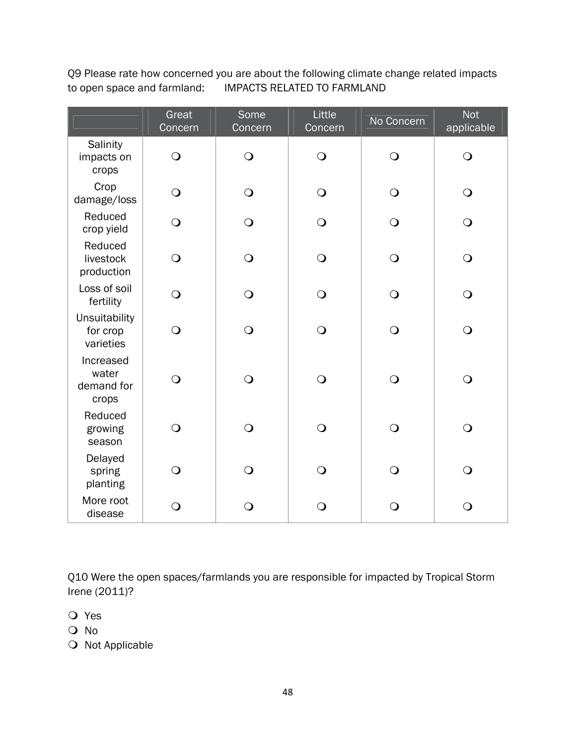Q9 Please rate how concerned you are about the following climate change related impacts to open space and farmland: IMPACTS RELATED TO FARMLAND

|                                           | Great<br>Concern | Some<br>Concern | Little<br>Concern | No Concern     | <b>Not</b><br>applicable |
|-------------------------------------------|------------------|-----------------|-------------------|----------------|--------------------------|
| Salinity<br>impacts on<br>crops           | $\bigcirc$       | $\bigcirc$      | $\bigcirc$        | $\bigcirc$     | $\bigcirc$               |
| Crop<br>damage/loss                       | $\bigcirc$       | $\overline{O}$  | $\bigcirc$        | $\bigcirc$     | $\bigcirc$               |
| Reduced<br>crop yield                     | $\bigcirc$       | $\bigcirc$      | $\bigcirc$        | $\bigcirc$     | $\bigcirc$               |
| Reduced<br>livestock<br>production        | $\bigcirc$       | $\bigcirc$      | $\bigcirc$        | $\bigcirc$     | $\bigcirc$               |
| Loss of soil<br>fertility                 | $\bigcirc$       | $\bigcirc$      | $\bigcirc$        | $\bigcirc$     | $\bigcirc$               |
| Unsuitability<br>for crop<br>varieties    | $\bigcirc$       | $\bigcirc$      | $\bigcirc$        | $\bigcirc$     | $\bigcirc$               |
| Increased<br>water<br>demand for<br>crops | $\bigcirc$       | $\overline{O}$  | $\bigcirc$        | $\overline{O}$ | $\bigcirc$               |
| Reduced<br>growing<br>season              | $\bigcirc$       | $\overline{O}$  | $\bigcirc$        | $\Omega$       | $\overline{O}$           |
| Delayed<br>spring<br>planting             | $\bigcirc$       | $\bigcirc$      | $\bigcirc$        | $\bigcirc$     | $\bigcirc$               |
| More root<br>disease                      | $\bigcirc$       | $\bigcirc$      | $\bigcirc$        | $\bigcirc$     | $\bigcirc$               |

Q10 Were the open spaces/farmlands you are responsible for impacted by Tropical Storm Irene (2011)?

- Yes
- No
- $\bigcirc$  Not Applicable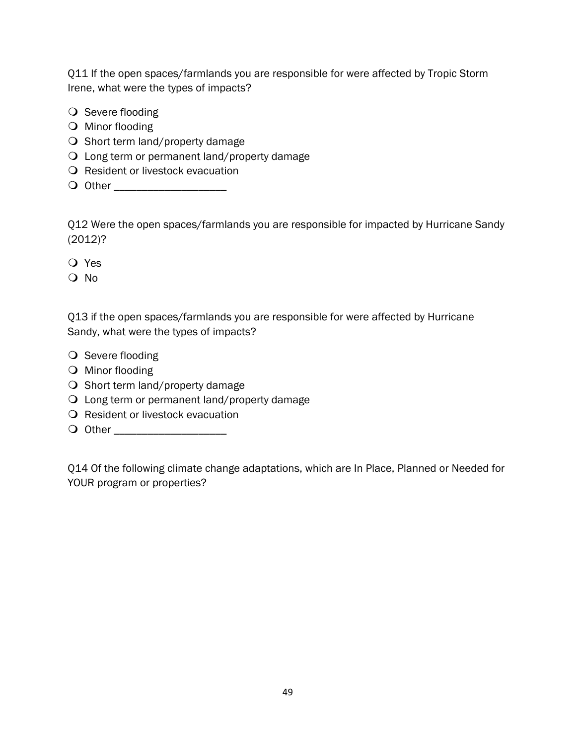Q11 If the open spaces/farmlands you are responsible for were affected by Tropic Storm Irene, what were the types of impacts?

- $\bigcirc$  Severe flooding
- O Minor flooding
- O Short term land/property damage
- Long term or permanent land/property damage
- O Resident or livestock evacuation
- Other \_\_\_\_\_\_\_\_\_\_\_\_\_\_\_\_\_\_\_\_

Q12 Were the open spaces/farmlands you are responsible for impacted by Hurricane Sandy (2012)?

- Yes
- O No

Q13 if the open spaces/farmlands you are responsible for were affected by Hurricane Sandy, what were the types of impacts?

- $\bigcirc$  Severe flooding
- O Minor flooding
- $\bigcirc$  Short term land/property damage
- Long term or permanent land/property damage
- **Q** Resident or livestock evacuation
- Other \_\_\_\_\_\_\_\_\_\_\_\_\_\_\_\_\_\_\_\_

Q14 Of the following climate change adaptations, which are In Place, Planned or Needed for YOUR program or properties?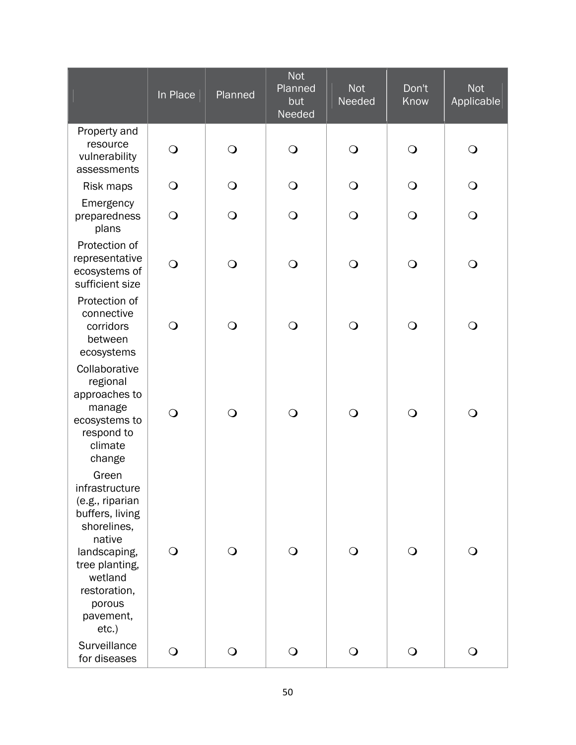|                                                                                                                                                                                     | In Place       | Planned      | <b>Not</b><br>Planned<br>but<br>Needed | <b>Not</b><br>Needed | Don't<br>Know | <b>Not</b><br>Applicable |
|-------------------------------------------------------------------------------------------------------------------------------------------------------------------------------------|----------------|--------------|----------------------------------------|----------------------|---------------|--------------------------|
| Property and<br>resource<br>vulnerability<br>assessments                                                                                                                            | $\bigcirc$     | $\bigcirc$   | $\bigcirc$                             | $\bigcirc$           | $\bigcirc$    | $\bigcirc$               |
| Risk maps                                                                                                                                                                           | $\bigcirc$     | $\bigcirc$   | $\bigcirc$                             | $\bigcirc$           | $\bigcirc$    | $\bigcirc$               |
| Emergency<br>preparedness<br>plans                                                                                                                                                  | $\overline{O}$ | $\bigcirc$   | $\bigcirc$                             | $\bigcirc$           | $\bigcirc$    | $\bigcirc$               |
| Protection of<br>representative<br>ecosystems of<br>sufficient size                                                                                                                 | $\bigcirc$     | $\bigcirc$   | $\bigcirc$                             | $\bigcirc$           | $\bigcirc$    | $\bigcirc$               |
| Protection of<br>connective<br>corridors<br>between<br>ecosystems                                                                                                                   | $\bigcirc$     | $\bigcirc$   | $\bigcirc$                             | $\bigcirc$           | $\bigcirc$    | $\bigcirc$               |
| Collaborative<br>regional<br>approaches to<br>manage<br>ecosystems to<br>respond to<br>climate<br>change                                                                            | $\bigcirc$     | $\mathsf{O}$ | $\bigcirc$                             | $\bigcirc$           | $\bigcirc$    | $\bigcirc$               |
| Green<br>infrastructure<br>(e.g., riparian<br>buffers, living<br>shorelines,<br>native<br>landscaping,<br>tree planting,<br>wetland<br>restoration,<br>porous<br>pavement,<br>etc.) | $\bigcirc$     | $\bigcirc$   | $\bigcirc$                             | $\bigcirc$           | $\bigcirc$    | $\bigcirc$               |
| Surveillance<br>for diseases                                                                                                                                                        | $\bigcirc$     | $\bigcirc$   | $\bigcirc$                             | $\bigcirc$           | $\bigcirc$    | $\bigcirc$               |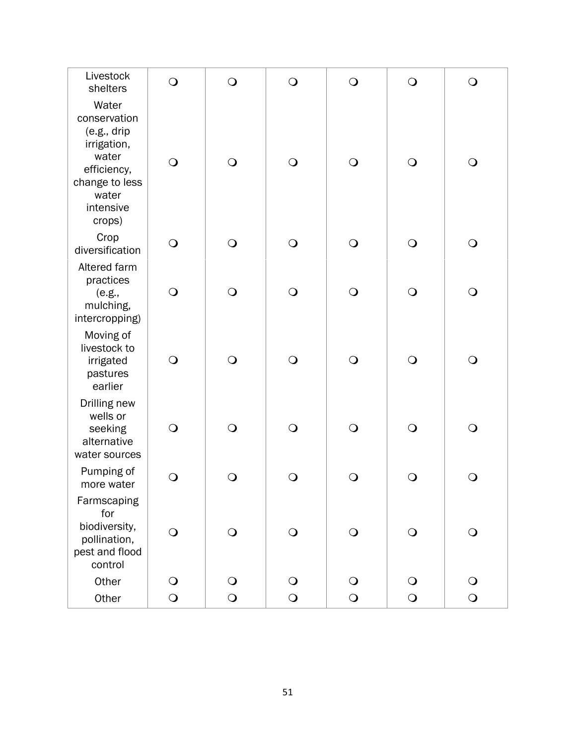| Livestock<br>shelters                                                                                                           | $\bigcirc$ | $\bigcirc$ | $\bigcirc$ | $\bigcirc$ | $\bigcirc$ | $\bigcirc$ |
|---------------------------------------------------------------------------------------------------------------------------------|------------|------------|------------|------------|------------|------------|
| Water<br>conservation<br>(e.g., dirip)<br>irrigation,<br>water<br>efficiency,<br>change to less<br>water<br>intensive<br>crops) | $\bigcirc$ | $\bigcirc$ | $\bigcirc$ | $\bigcirc$ | $\bigcirc$ | $\bigcirc$ |
| Crop<br>diversification                                                                                                         | $\bigcirc$ | $\bigcirc$ | $\bigcirc$ | $\bigcirc$ | $\bigcirc$ | $\bigcirc$ |
| Altered farm<br>practices<br>(e.g.,<br>mulching,<br>intercropping)                                                              | $\bigcirc$ | $\bigcirc$ | $\bigcirc$ | $\bigcirc$ | $\bigcirc$ | $\bigcirc$ |
| Moving of<br>livestock to<br>irrigated<br>pastures<br>earlier                                                                   | $\bigcirc$ | $\bigcirc$ | $\bigcirc$ | $\bigcirc$ | $\bigcirc$ | $\bigcirc$ |
| Drilling new<br>wells or<br>seeking<br>alternative<br>water sources                                                             | $\bigcirc$ | $\bigcirc$ | $\bigcirc$ | $\bigcirc$ | $\bigcirc$ | $\bigcirc$ |
| Pumping of<br>more water                                                                                                        | $\bigcirc$ | $\bigcirc$ | $\bigcirc$ | $\bigcirc$ | $\bigcirc$ | $\bigcirc$ |
| Farmscaping<br>for<br>biodiversity,<br>pollination,<br>pest and flood<br>control                                                | $\bigcirc$ | $\bigcirc$ | $\bigcirc$ | $\bigcirc$ | $\bigcirc$ | $\bigcirc$ |
| Other                                                                                                                           | $\bigcirc$ | $\bigcirc$ | $\bigcirc$ | $\bigcirc$ | $\bigcirc$ | $\bigcirc$ |
| Other                                                                                                                           | $\bigcirc$ | $\bigcirc$ | $\bigcirc$ | $\bigcirc$ | $\bigcirc$ | $\bigcirc$ |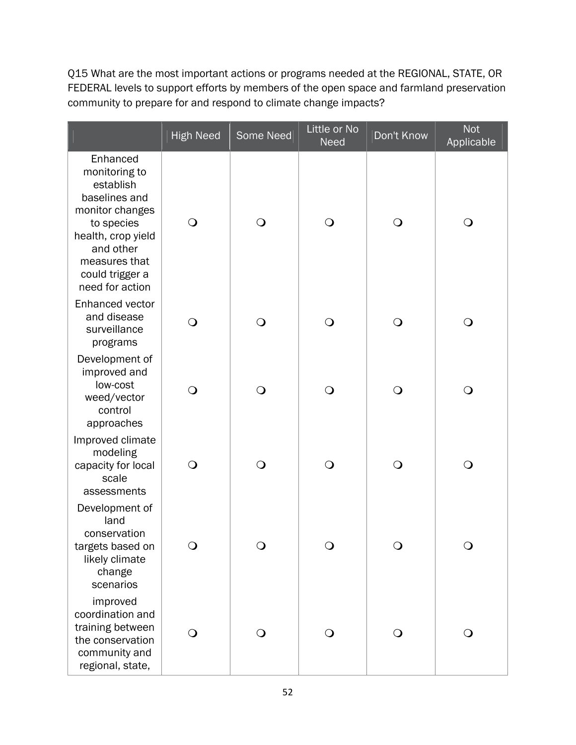Q15 What are the most important actions or programs needed at the REGIONAL, STATE, OR FEDERAL levels to support efforts by members of the open space and farmland preservation community to prepare for and respond to climate change impacts?

|                                                                                                                                                                                    | <b>High Need</b> | Some Need | Little or No<br><b>Need</b> | Don't Know   | <b>Not</b><br>Applicable |
|------------------------------------------------------------------------------------------------------------------------------------------------------------------------------------|------------------|-----------|-----------------------------|--------------|--------------------------|
| Enhanced<br>monitoring to<br>establish<br>baselines and<br>monitor changes<br>to species<br>health, crop yield<br>and other<br>measures that<br>could trigger a<br>need for action | $\bigcirc$       | O         | $\bigcirc$                  | $\bigcirc$   | $\mathbf{\mathsf{O}}$    |
| Enhanced vector<br>and disease<br>surveillance<br>programs                                                                                                                         | $\overline{O}$   | $\Omega$  | $\bigcirc$                  | $\bigcirc$   | $\bigcirc$               |
| Development of<br>improved and<br>low-cost<br>weed/vector<br>control<br>approaches                                                                                                 | $\bigcirc$       | $\Omega$  | $\bigcirc$                  | $\bigcirc$   | $\bigcirc$               |
| Improved climate<br>modeling<br>capacity for local<br>scale<br>assessments                                                                                                         | $\bigcirc$       | $\Omega$  | O                           | $\mathsf{O}$ | O                        |
| Development of<br>land<br>conservation<br>targets based on<br>likely climate<br>change<br>scenarios                                                                                | $\circ$          |           |                             | Ő            |                          |
| improved<br>coordination and<br>training between<br>the conservation<br>community and<br>regional, state,                                                                          | $\bigcirc$       | ◯         | $\mathsf{O}$                | $\mathsf{O}$ | O                        |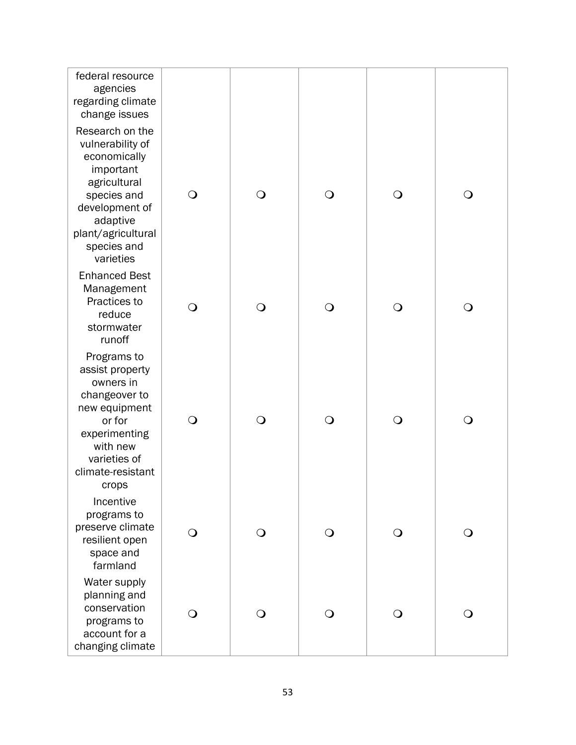| federal resource<br>agencies<br>regarding climate<br>change issues                                                                                                              |            |            |            |            |              |
|---------------------------------------------------------------------------------------------------------------------------------------------------------------------------------|------------|------------|------------|------------|--------------|
| Research on the<br>vulnerability of<br>economically<br>important<br>agricultural<br>species and<br>development of<br>adaptive<br>plant/agricultural<br>species and<br>varieties | $\bigcirc$ | $\bigcirc$ | $\bigcirc$ | $\bigcirc$ | $\bigcirc$   |
| <b>Enhanced Best</b><br>Management<br>Practices to<br>reduce<br>stormwater<br>runoff                                                                                            | $\bigcirc$ | $\bigcirc$ | $\bigcirc$ | $\bigcirc$ | $\bigcirc$   |
| Programs to<br>assist property<br>owners in<br>changeover to<br>new equipment<br>or for<br>experimenting<br>with new<br>varieties of<br>climate-resistant<br>crops              | $\bigcirc$ | $\bigcirc$ | $\bigcirc$ | $\bigcirc$ | $\bigcirc$   |
| Incentive<br>programs to<br>preserve climate<br>resilient open<br>space and<br>farmland                                                                                         | O          | $\bigcirc$ | $\bigcirc$ | $\bigcirc$ | $\mathsf{O}$ |
| Water supply<br>planning and<br>conservation<br>programs to<br>account for a<br>changing climate                                                                                | $\bigcirc$ | ∩          | $\bigcirc$ | ⊖)         | O            |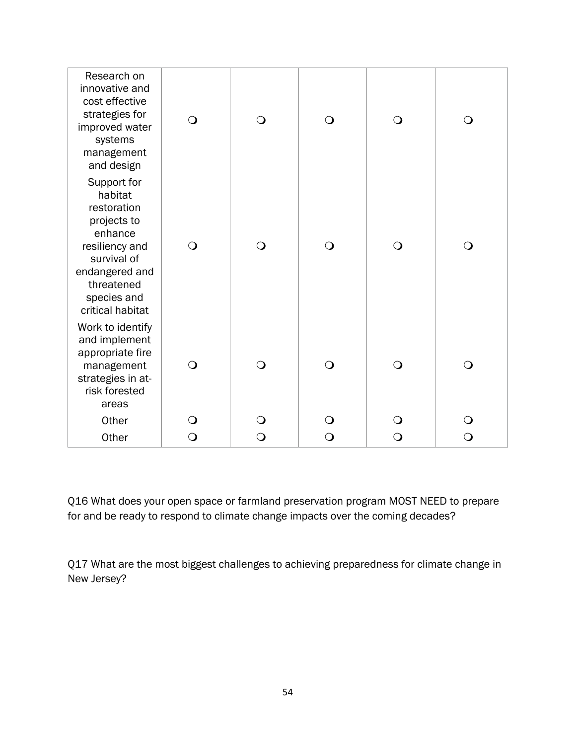| Research on<br>innovative and<br>cost effective<br>strategies for<br>improved water<br>systems<br>management<br>and design                                          | $\bigcirc$ | $\bigcirc$ | $\bigcirc$ | $\bigcirc$     | $\bigcirc$   |
|---------------------------------------------------------------------------------------------------------------------------------------------------------------------|------------|------------|------------|----------------|--------------|
| Support for<br>habitat<br>restoration<br>projects to<br>enhance<br>resiliency and<br>survival of<br>endangered and<br>threatened<br>species and<br>critical habitat | $\bigcirc$ | $\bigcirc$ | $\bigcirc$ | $\bigcirc$     | O            |
| Work to identify<br>and implement<br>appropriate fire<br>management<br>strategies in at-<br>risk forested<br>areas                                                  | $\bigcirc$ | $\bigcirc$ | $\bigcirc$ | $\overline{O}$ | $\bigcirc$   |
| Other                                                                                                                                                               | $\bigcirc$ | $\bigcirc$ | $\bigcirc$ | O              | ∩            |
| Other                                                                                                                                                               | $\bigcirc$ | $\bigcirc$ | $\bigcirc$ | $\bigcirc$     | $\mathsf{O}$ |

Q16 What does your open space or farmland preservation program MOST NEED to prepare for and be ready to respond to climate change impacts over the coming decades?

Q17 What are the most biggest challenges to achieving preparedness for climate change in New Jersey?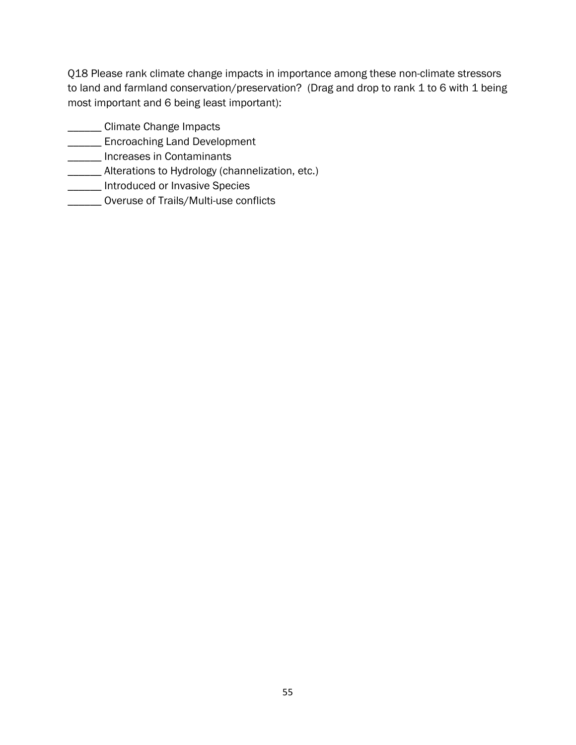Q18 Please rank climate change impacts in importance among these non-climate stressors to land and farmland conservation/preservation? (Drag and drop to rank 1 to 6 with 1 being most important and 6 being least important):

- \_\_\_\_\_\_ Climate Change Impacts
- **\_\_\_\_\_\_** Encroaching Land Development
- **\_\_\_\_\_\_** Increases in Contaminants
- **\_\_\_\_\_\_** Alterations to Hydrology (channelization, etc.)
- **\_\_\_\_\_\_** Introduced or Invasive Species
- \_\_\_\_\_\_ Overuse of Trails/Multi-use conflicts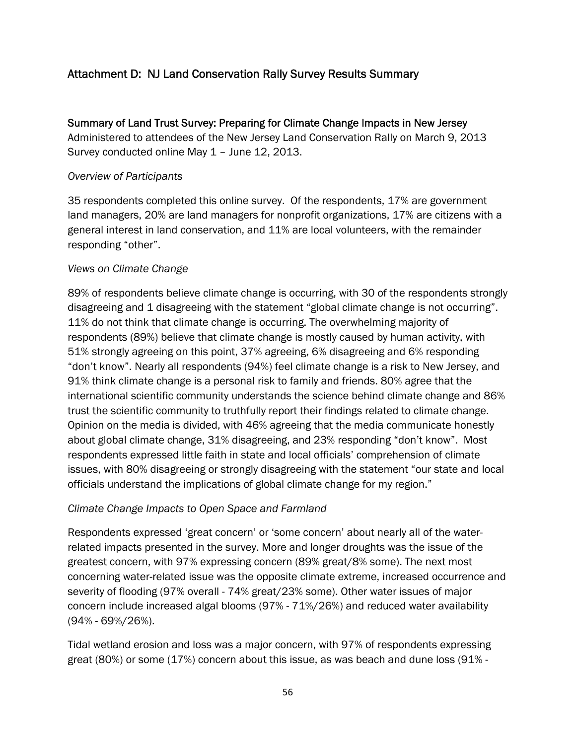# Attachment D: NJ Land Conservation Rally Survey Results Summary

Summary of Land Trust Survey: Preparing for Climate Change Impacts in New Jersey Administered to attendees of the New Jersey Land Conservation Rally on March 9, 2013 Survey conducted online May 1 – June 12, 2013.

### *Overview of Participants*

35 respondents completed this online survey. Of the respondents, 17% are government land managers, 20% are land managers for nonprofit organizations, 17% are citizens with a general interest in land conservation, and 11% are local volunteers, with the remainder responding "other".

# *Views on Climate Change*

89% of respondents believe climate change is occurring, with 30 of the respondents strongly disagreeing and 1 disagreeing with the statement "global climate change is not occurring". 11% do not think that climate change is occurring. The overwhelming majority of respondents (89%) believe that climate change is mostly caused by human activity, with 51% strongly agreeing on this point, 37% agreeing, 6% disagreeing and 6% responding "don't know". Nearly all respondents (94%) feel climate change is a risk to New Jersey, and 91% think climate change is a personal risk to family and friends. 80% agree that the international scientific community understands the science behind climate change and 86% trust the scientific community to truthfully report their findings related to climate change. Opinion on the media is divided, with 46% agreeing that the media communicate honestly about global climate change, 31% disagreeing, and 23% responding "don't know". Most respondents expressed little faith in state and local officials' comprehension of climate issues, with 80% disagreeing or strongly disagreeing with the statement "our state and local officials understand the implications of global climate change for my region."

### *Climate Change Impacts to Open Space and Farmland*

Respondents expressed 'great concern' or 'some concern' about nearly all of the waterrelated impacts presented in the survey. More and longer droughts was the issue of the greatest concern, with 97% expressing concern (89% great/8% some). The next most concerning water-related issue was the opposite climate extreme, increased occurrence and severity of flooding (97% overall - 74% great/23% some). Other water issues of major concern include increased algal blooms (97% - 71%/26%) and reduced water availability (94% - 69%/26%).

Tidal wetland erosion and loss was a major concern, with 97% of respondents expressing great (80%) or some (17%) concern about this issue, as was beach and dune loss (91% -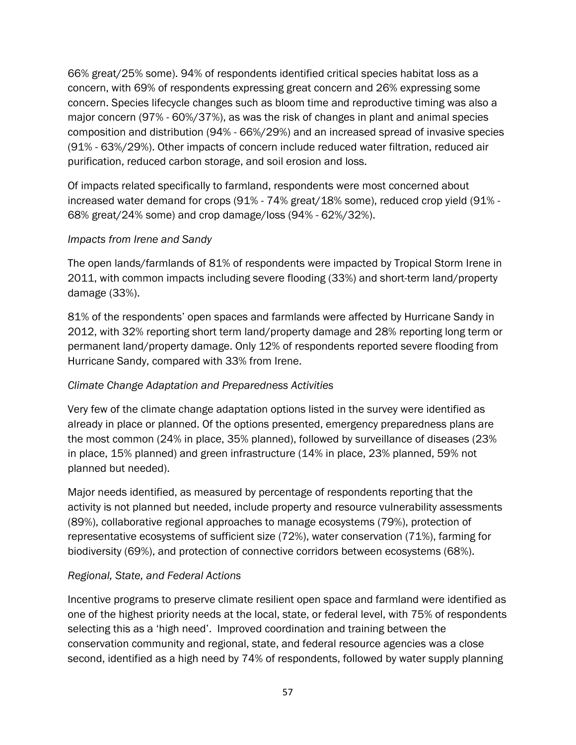66% great/25% some). 94% of respondents identified critical species habitat loss as a concern, with 69% of respondents expressing great concern and 26% expressing some concern. Species lifecycle changes such as bloom time and reproductive timing was also a major concern (97% - 60%/37%), as was the risk of changes in plant and animal species composition and distribution (94% - 66%/29%) and an increased spread of invasive species (91% - 63%/29%). Other impacts of concern include reduced water filtration, reduced air purification, reduced carbon storage, and soil erosion and loss.

Of impacts related specifically to farmland, respondents were most concerned about increased water demand for crops (91% - 74% great/18% some), reduced crop yield (91% - 68% great/24% some) and crop damage/loss (94% - 62%/32%).

### *Impacts from Irene and Sandy*

The open lands/farmlands of 81% of respondents were impacted by Tropical Storm Irene in 2011, with common impacts including severe flooding (33%) and short-term land/property damage (33%).

81% of the respondents' open spaces and farmlands were affected by Hurricane Sandy in 2012, with 32% reporting short term land/property damage and 28% reporting long term or permanent land/property damage. Only 12% of respondents reported severe flooding from Hurricane Sandy, compared with 33% from Irene.

# *Climate Change Adaptation and Preparedness Activities*

Very few of the climate change adaptation options listed in the survey were identified as already in place or planned. Of the options presented, emergency preparedness plans are the most common (24% in place, 35% planned), followed by surveillance of diseases (23% in place, 15% planned) and green infrastructure (14% in place, 23% planned, 59% not planned but needed).

Major needs identified, as measured by percentage of respondents reporting that the activity is not planned but needed, include property and resource vulnerability assessments (89%), collaborative regional approaches to manage ecosystems (79%), protection of representative ecosystems of sufficient size (72%), water conservation (71%), farming for biodiversity (69%), and protection of connective corridors between ecosystems (68%).

### *Regional, State, and Federal Actions*

Incentive programs to preserve climate resilient open space and farmland were identified as one of the highest priority needs at the local, state, or federal level, with 75% of respondents selecting this as a 'high need'. Improved coordination and training between the conservation community and regional, state, and federal resource agencies was a close second, identified as a high need by 74% of respondents, followed by water supply planning